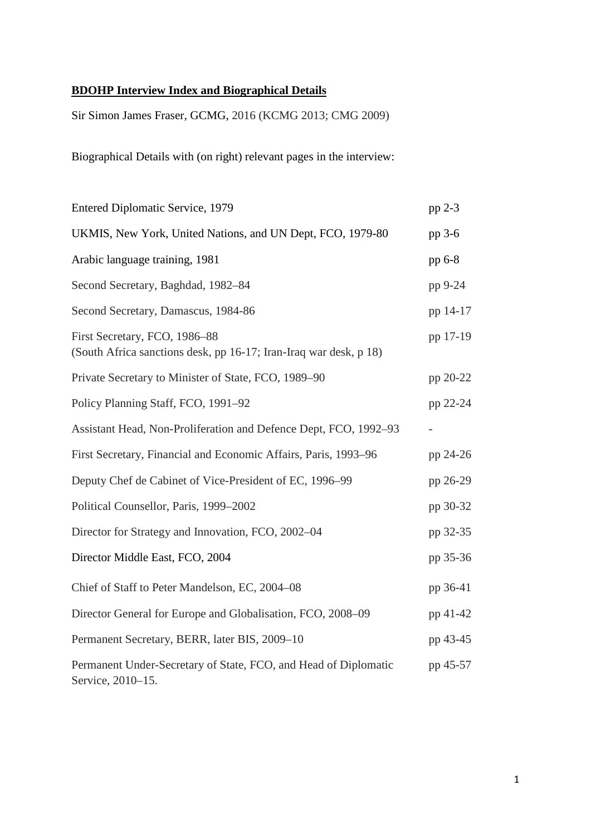## **BDOHP Interview Index and Biographical Details**

Sir Simon James Fraser, GCMG, 2016 (KCMG 2013; CMG 2009)

Biographical Details with (on right) relevant pages in the interview:

| <b>Entered Diplomatic Service, 1979</b>                                                            | pp 2-3   |
|----------------------------------------------------------------------------------------------------|----------|
| UKMIS, New York, United Nations, and UN Dept, FCO, 1979-80                                         | pp 3-6   |
| Arabic language training, 1981                                                                     | pp 6-8   |
| Second Secretary, Baghdad, 1982–84                                                                 | pp 9-24  |
| Second Secretary, Damascus, 1984-86                                                                | pp 14-17 |
| First Secretary, FCO, 1986-88<br>(South Africa sanctions desk, pp 16-17; Iran-Iraq war desk, p 18) | pp 17-19 |
| Private Secretary to Minister of State, FCO, 1989–90                                               | pp 20-22 |
| Policy Planning Staff, FCO, 1991-92                                                                | pp 22-24 |
| Assistant Head, Non-Proliferation and Defence Dept, FCO, 1992-93                                   |          |
| First Secretary, Financial and Economic Affairs, Paris, 1993-96                                    | pp 24-26 |
| Deputy Chef de Cabinet of Vice-President of EC, 1996–99                                            | pp 26-29 |
| Political Counsellor, Paris, 1999-2002                                                             | pp 30-32 |
| Director for Strategy and Innovation, FCO, 2002-04                                                 | pp 32-35 |
| Director Middle East, FCO, 2004                                                                    | pp 35-36 |
| Chief of Staff to Peter Mandelson, EC, 2004-08                                                     | pp 36-41 |
| Director General for Europe and Globalisation, FCO, 2008–09                                        | pp 41-42 |
| Permanent Secretary, BERR, later BIS, 2009-10                                                      | pp 43-45 |
| Permanent Under-Secretary of State, FCO, and Head of Diplomatic<br>Service, 2010-15.               | pp 45-57 |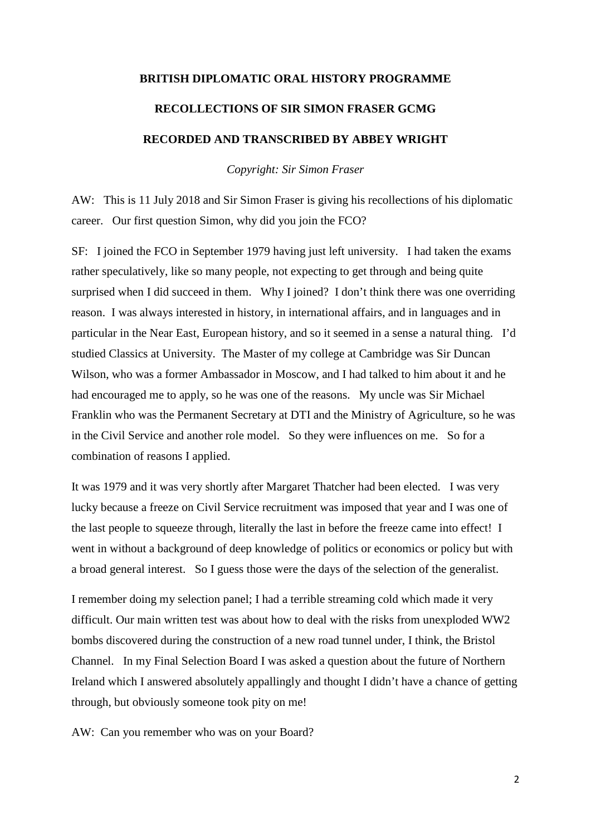## **BRITISH DIPLOMATIC ORAL HISTORY PROGRAMME**

# **RECOLLECTIONS OF SIR SIMON FRASER GCMG RECORDED AND TRANSCRIBED BY ABBEY WRIGHT**

*Copyright: Sir Simon Fraser*

AW: This is 11 July 2018 and Sir Simon Fraser is giving his recollections of his diplomatic career. Our first question Simon, why did you join the FCO?

SF: I joined the FCO in September 1979 having just left university. I had taken the exams rather speculatively, like so many people, not expecting to get through and being quite surprised when I did succeed in them. Why I joined? I don't think there was one overriding reason. I was always interested in history, in international affairs, and in languages and in particular in the Near East, European history, and so it seemed in a sense a natural thing. I'd studied Classics at University. The Master of my college at Cambridge was Sir Duncan Wilson, who was a former Ambassador in Moscow, and I had talked to him about it and he had encouraged me to apply, so he was one of the reasons. My uncle was Sir Michael Franklin who was the Permanent Secretary at DTI and the Ministry of Agriculture, so he was in the Civil Service and another role model. So they were influences on me. So for a combination of reasons I applied.

It was 1979 and it was very shortly after Margaret Thatcher had been elected. I was very lucky because a freeze on Civil Service recruitment was imposed that year and I was one of the last people to squeeze through, literally the last in before the freeze came into effect! I went in without a background of deep knowledge of politics or economics or policy but with a broad general interest. So I guess those were the days of the selection of the generalist.

I remember doing my selection panel; I had a terrible streaming cold which made it very difficult. Our main written test was about how to deal with the risks from unexploded WW2 bombs discovered during the construction of a new road tunnel under, I think, the Bristol Channel. In my Final Selection Board I was asked a question about the future of Northern Ireland which I answered absolutely appallingly and thought I didn't have a chance of getting through, but obviously someone took pity on me!

AW: Can you remember who was on your Board?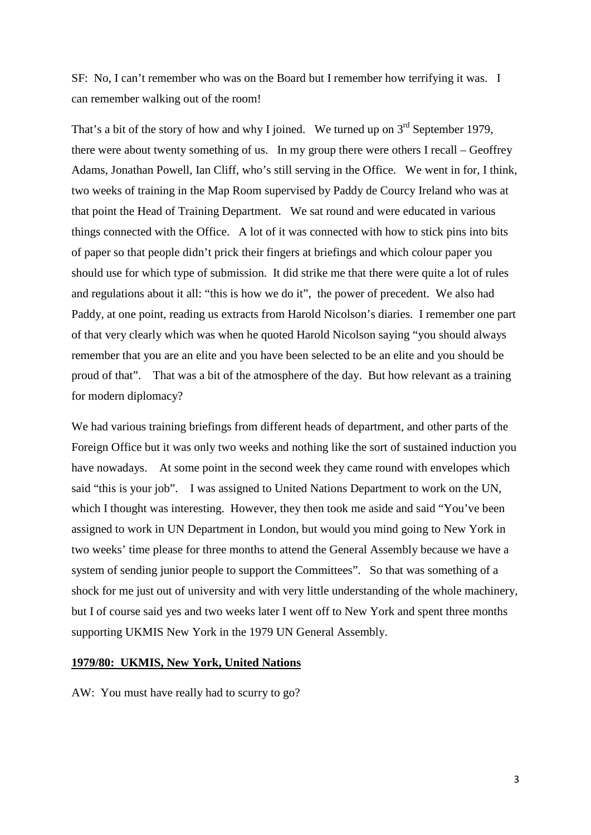SF: No, I can't remember who was on the Board but I remember how terrifying it was. I can remember walking out of the room!

That's a bit of the story of how and why I joined. We turned up on  $3<sup>rd</sup>$  September 1979, there were about twenty something of us. In my group there were others I recall – Geoffrey Adams, Jonathan Powell, Ian Cliff, who's still serving in the Office. We went in for, I think, two weeks of training in the Map Room supervised by Paddy de Courcy Ireland who was at that point the Head of Training Department. We sat round and were educated in various things connected with the Office. A lot of it was connected with how to stick pins into bits of paper so that people didn't prick their fingers at briefings and which colour paper you should use for which type of submission. It did strike me that there were quite a lot of rules and regulations about it all: "this is how we do it", the power of precedent. We also had Paddy, at one point, reading us extracts from Harold Nicolson's diaries. I remember one part of that very clearly which was when he quoted Harold Nicolson saying "you should always remember that you are an elite and you have been selected to be an elite and you should be proud of that". That was a bit of the atmosphere of the day. But how relevant as a training for modern diplomacy?

We had various training briefings from different heads of department, and other parts of the Foreign Office but it was only two weeks and nothing like the sort of sustained induction you have nowadays. At some point in the second week they came round with envelopes which said "this is your job". I was assigned to United Nations Department to work on the UN, which I thought was interesting. However, they then took me aside and said "You've been assigned to work in UN Department in London, but would you mind going to New York in two weeks' time please for three months to attend the General Assembly because we have a system of sending junior people to support the Committees". So that was something of a shock for me just out of university and with very little understanding of the whole machinery, but I of course said yes and two weeks later I went off to New York and spent three months supporting UKMIS New York in the 1979 UN General Assembly.

## **1979/80: UKMIS, New York, United Nations**

AW: You must have really had to scurry to go?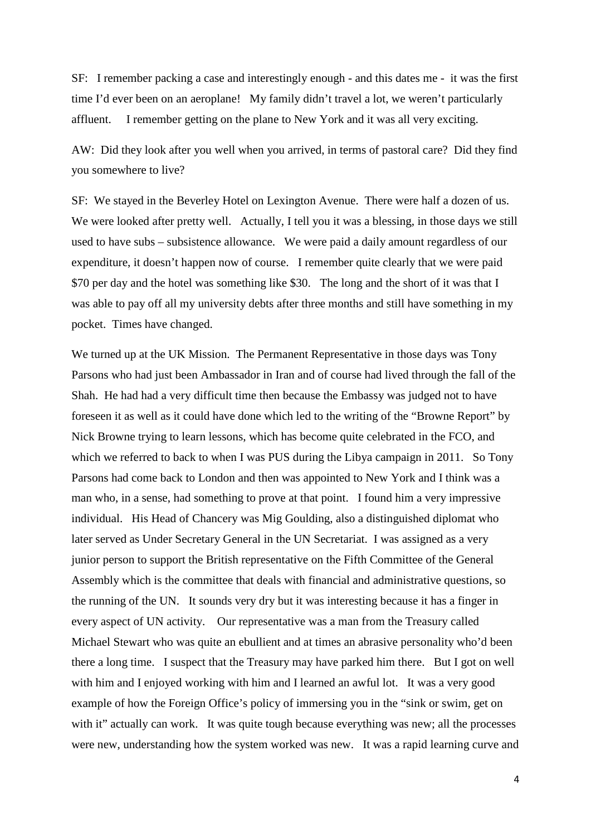SF: I remember packing a case and interestingly enough - and this dates me - it was the first time I'd ever been on an aeroplane! My family didn't travel a lot, we weren't particularly affluent. I remember getting on the plane to New York and it was all very exciting.

AW: Did they look after you well when you arrived, in terms of pastoral care? Did they find you somewhere to live?

SF: We stayed in the Beverley Hotel on Lexington Avenue. There were half a dozen of us. We were looked after pretty well. Actually, I tell you it was a blessing, in those days we still used to have subs – subsistence allowance. We were paid a daily amount regardless of our expenditure, it doesn't happen now of course. I remember quite clearly that we were paid \$70 per day and the hotel was something like \$30. The long and the short of it was that I was able to pay off all my university debts after three months and still have something in my pocket. Times have changed.

We turned up at the UK Mission. The Permanent Representative in those days was Tony Parsons who had just been Ambassador in Iran and of course had lived through the fall of the Shah. He had had a very difficult time then because the Embassy was judged not to have foreseen it as well as it could have done which led to the writing of the "Browne Report" by Nick Browne trying to learn lessons, which has become quite celebrated in the FCO, and which we referred to back to when I was PUS during the Libya campaign in 2011. So Tony Parsons had come back to London and then was appointed to New York and I think was a man who, in a sense, had something to prove at that point. I found him a very impressive individual. His Head of Chancery was Mig Goulding, also a distinguished diplomat who later served as Under Secretary General in the UN Secretariat. I was assigned as a very junior person to support the British representative on the Fifth Committee of the General Assembly which is the committee that deals with financial and administrative questions, so the running of the UN. It sounds very dry but it was interesting because it has a finger in every aspect of UN activity. Our representative was a man from the Treasury called Michael Stewart who was quite an ebullient and at times an abrasive personality who'd been there a long time. I suspect that the Treasury may have parked him there. But I got on well with him and I enjoyed working with him and I learned an awful lot. It was a very good example of how the Foreign Office's policy of immersing you in the "sink or swim, get on with it" actually can work. It was quite tough because everything was new; all the processes were new, understanding how the system worked was new. It was a rapid learning curve and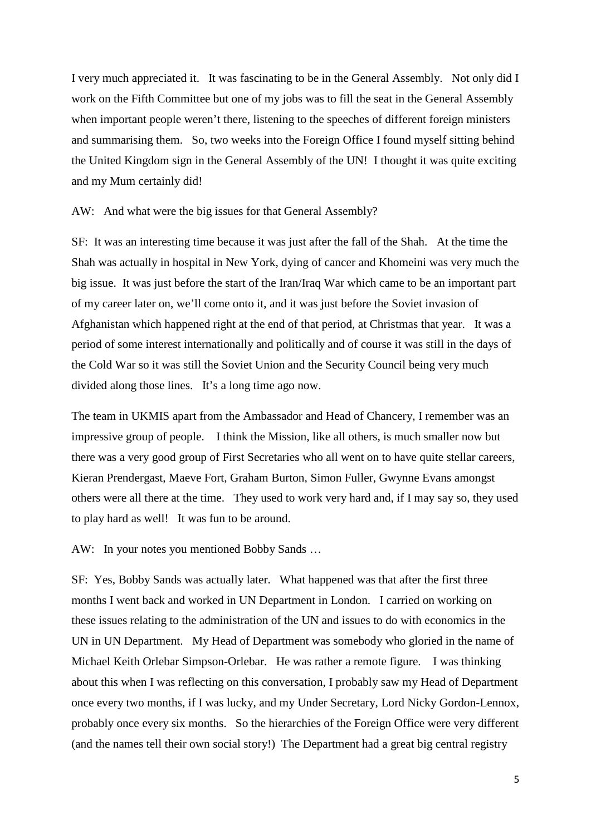I very much appreciated it. It was fascinating to be in the General Assembly. Not only did I work on the Fifth Committee but one of my jobs was to fill the seat in the General Assembly when important people weren't there, listening to the speeches of different foreign ministers and summarising them. So, two weeks into the Foreign Office I found myself sitting behind the United Kingdom sign in the General Assembly of the UN! I thought it was quite exciting and my Mum certainly did!

AW: And what were the big issues for that General Assembly?

SF: It was an interesting time because it was just after the fall of the Shah. At the time the Shah was actually in hospital in New York, dying of cancer and Khomeini was very much the big issue. It was just before the start of the Iran/Iraq War which came to be an important part of my career later on, we'll come onto it, and it was just before the Soviet invasion of Afghanistan which happened right at the end of that period, at Christmas that year. It was a period of some interest internationally and politically and of course it was still in the days of the Cold War so it was still the Soviet Union and the Security Council being very much divided along those lines. It's a long time ago now.

The team in UKMIS apart from the Ambassador and Head of Chancery, I remember was an impressive group of people. I think the Mission, like all others, is much smaller now but there was a very good group of First Secretaries who all went on to have quite stellar careers, Kieran Prendergast, Maeve Fort, Graham Burton, Simon Fuller, Gwynne Evans amongst others were all there at the time. They used to work very hard and, if I may say so, they used to play hard as well! It was fun to be around.

AW: In your notes you mentioned Bobby Sands …

SF: Yes, Bobby Sands was actually later. What happened was that after the first three months I went back and worked in UN Department in London. I carried on working on these issues relating to the administration of the UN and issues to do with economics in the UN in UN Department. My Head of Department was somebody who gloried in the name of Michael Keith Orlebar Simpson-Orlebar. He was rather a remote figure. I was thinking about this when I was reflecting on this conversation, I probably saw my Head of Department once every two months, if I was lucky, and my Under Secretary, Lord Nicky Gordon-Lennox, probably once every six months. So the hierarchies of the Foreign Office were very different (and the names tell their own social story!) The Department had a great big central registry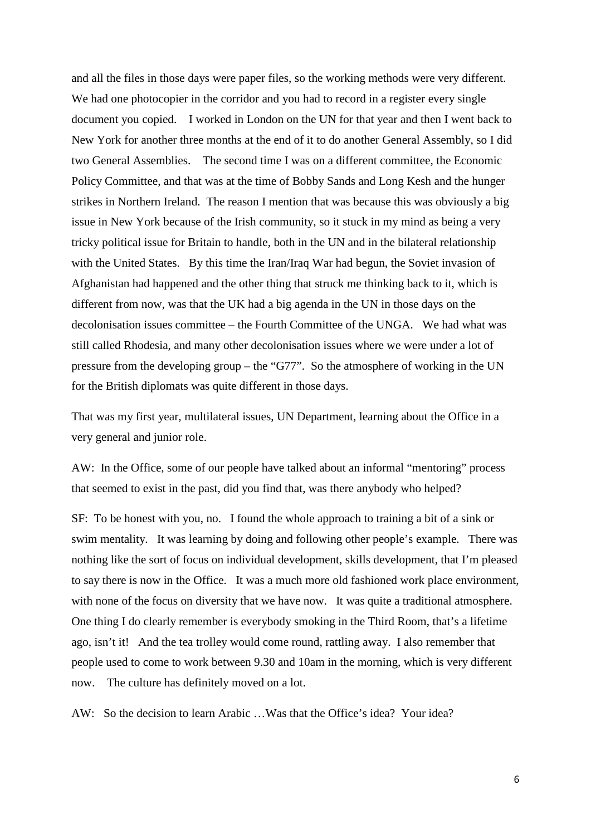and all the files in those days were paper files, so the working methods were very different. We had one photocopier in the corridor and you had to record in a register every single document you copied. I worked in London on the UN for that year and then I went back to New York for another three months at the end of it to do another General Assembly, so I did two General Assemblies. The second time I was on a different committee, the Economic Policy Committee, and that was at the time of Bobby Sands and Long Kesh and the hunger strikes in Northern Ireland. The reason I mention that was because this was obviously a big issue in New York because of the Irish community, so it stuck in my mind as being a very tricky political issue for Britain to handle, both in the UN and in the bilateral relationship with the United States. By this time the Iran/Iraq War had begun, the Soviet invasion of Afghanistan had happened and the other thing that struck me thinking back to it, which is different from now, was that the UK had a big agenda in the UN in those days on the decolonisation issues committee – the Fourth Committee of the UNGA. We had what was still called Rhodesia, and many other decolonisation issues where we were under a lot of pressure from the developing group – the "G77". So the atmosphere of working in the UN for the British diplomats was quite different in those days.

That was my first year, multilateral issues, UN Department, learning about the Office in a very general and junior role.

AW: In the Office, some of our people have talked about an informal "mentoring" process that seemed to exist in the past, did you find that, was there anybody who helped?

SF: To be honest with you, no. I found the whole approach to training a bit of a sink or swim mentality. It was learning by doing and following other people's example. There was nothing like the sort of focus on individual development, skills development, that I'm pleased to say there is now in the Office. It was a much more old fashioned work place environment, with none of the focus on diversity that we have now. It was quite a traditional atmosphere. One thing I do clearly remember is everybody smoking in the Third Room, that's a lifetime ago, isn't it! And the tea trolley would come round, rattling away. I also remember that people used to come to work between 9.30 and 10am in the morning, which is very different now. The culture has definitely moved on a lot.

AW: So the decision to learn Arabic …Was that the Office's idea? Your idea?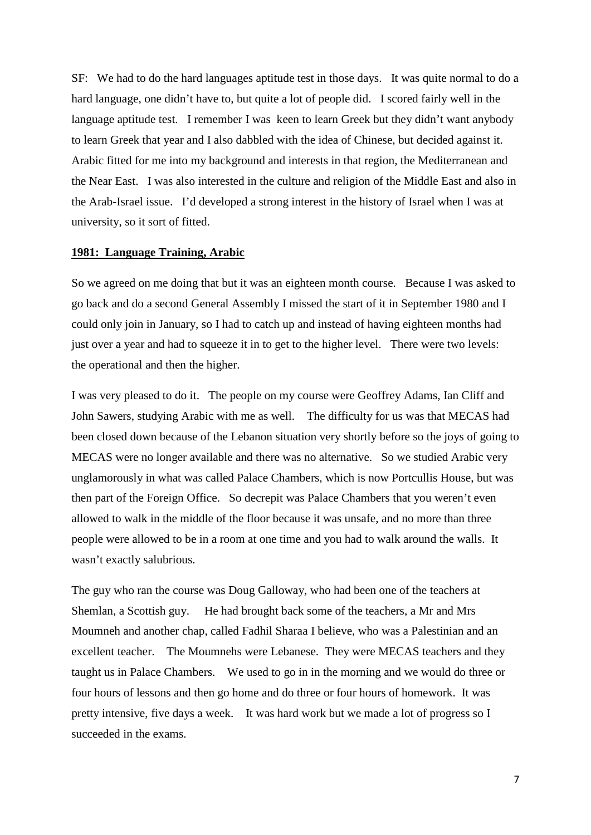SF: We had to do the hard languages aptitude test in those days. It was quite normal to do a hard language, one didn't have to, but quite a lot of people did. I scored fairly well in the language aptitude test. I remember I was keen to learn Greek but they didn't want anybody to learn Greek that year and I also dabbled with the idea of Chinese, but decided against it. Arabic fitted for me into my background and interests in that region, the Mediterranean and the Near East. I was also interested in the culture and religion of the Middle East and also in the Arab-Israel issue. I'd developed a strong interest in the history of Israel when I was at university, so it sort of fitted.

#### **1981: Language Training, Arabic**

So we agreed on me doing that but it was an eighteen month course. Because I was asked to go back and do a second General Assembly I missed the start of it in September 1980 and I could only join in January, so I had to catch up and instead of having eighteen months had just over a year and had to squeeze it in to get to the higher level. There were two levels: the operational and then the higher.

I was very pleased to do it. The people on my course were Geoffrey Adams, Ian Cliff and John Sawers, studying Arabic with me as well. The difficulty for us was that MECAS had been closed down because of the Lebanon situation very shortly before so the joys of going to MECAS were no longer available and there was no alternative. So we studied Arabic very unglamorously in what was called Palace Chambers, which is now Portcullis House, but was then part of the Foreign Office. So decrepit was Palace Chambers that you weren't even allowed to walk in the middle of the floor because it was unsafe, and no more than three people were allowed to be in a room at one time and you had to walk around the walls. It wasn't exactly salubrious.

The guy who ran the course was Doug Galloway, who had been one of the teachers at Shemlan, a Scottish guy. He had brought back some of the teachers, a Mr and Mrs Moumneh and another chap, called Fadhil Sharaa I believe, who was a Palestinian and an excellent teacher. The Moumnehs were Lebanese. They were MECAS teachers and they taught us in Palace Chambers. We used to go in in the morning and we would do three or four hours of lessons and then go home and do three or four hours of homework. It was pretty intensive, five days a week. It was hard work but we made a lot of progress so I succeeded in the exams.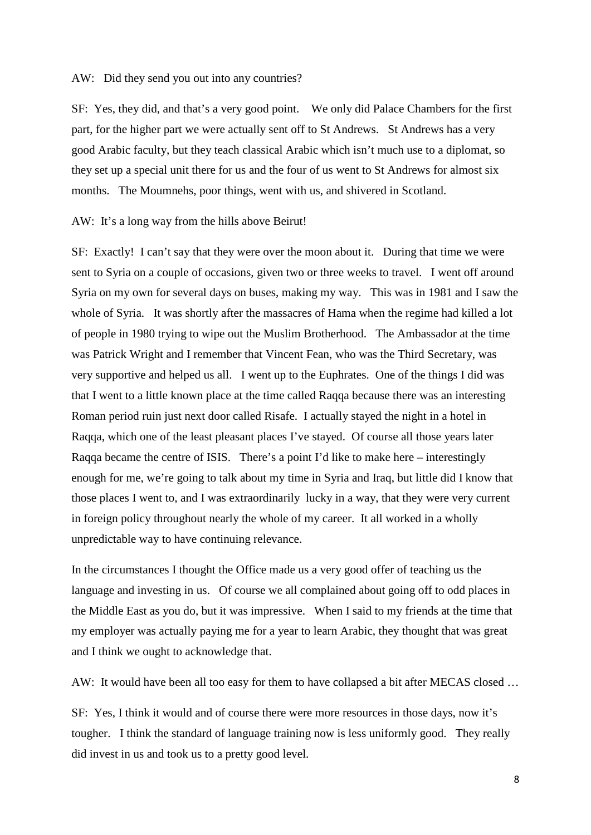#### AW: Did they send you out into any countries?

SF: Yes, they did, and that's a very good point. We only did Palace Chambers for the first part, for the higher part we were actually sent off to St Andrews. St Andrews has a very good Arabic faculty, but they teach classical Arabic which isn't much use to a diplomat, so they set up a special unit there for us and the four of us went to St Andrews for almost six months. The Moumnehs, poor things, went with us, and shivered in Scotland.

#### AW: It's a long way from the hills above Beirut!

SF: Exactly! I can't say that they were over the moon about it. During that time we were sent to Syria on a couple of occasions, given two or three weeks to travel. I went off around Syria on my own for several days on buses, making my way. This was in 1981 and I saw the whole of Syria. It was shortly after the massacres of Hama when the regime had killed a lot of people in 1980 trying to wipe out the Muslim Brotherhood. The Ambassador at the time was Patrick Wright and I remember that Vincent Fean, who was the Third Secretary, was very supportive and helped us all. I went up to the Euphrates. One of the things I did was that I went to a little known place at the time called Raqqa because there was an interesting Roman period ruin just next door called Risafe. I actually stayed the night in a hotel in Raqqa, which one of the least pleasant places I've stayed. Of course all those years later Raqqa became the centre of ISIS. There's a point I'd like to make here – interestingly enough for me, we're going to talk about my time in Syria and Iraq, but little did I know that those places I went to, and I was extraordinarily lucky in a way, that they were very current in foreign policy throughout nearly the whole of my career. It all worked in a wholly unpredictable way to have continuing relevance.

In the circumstances I thought the Office made us a very good offer of teaching us the language and investing in us. Of course we all complained about going off to odd places in the Middle East as you do, but it was impressive. When I said to my friends at the time that my employer was actually paying me for a year to learn Arabic, they thought that was great and I think we ought to acknowledge that.

AW: It would have been all too easy for them to have collapsed a bit after MECAS closed …

SF: Yes, I think it would and of course there were more resources in those days, now it's tougher. I think the standard of language training now is less uniformly good. They really did invest in us and took us to a pretty good level.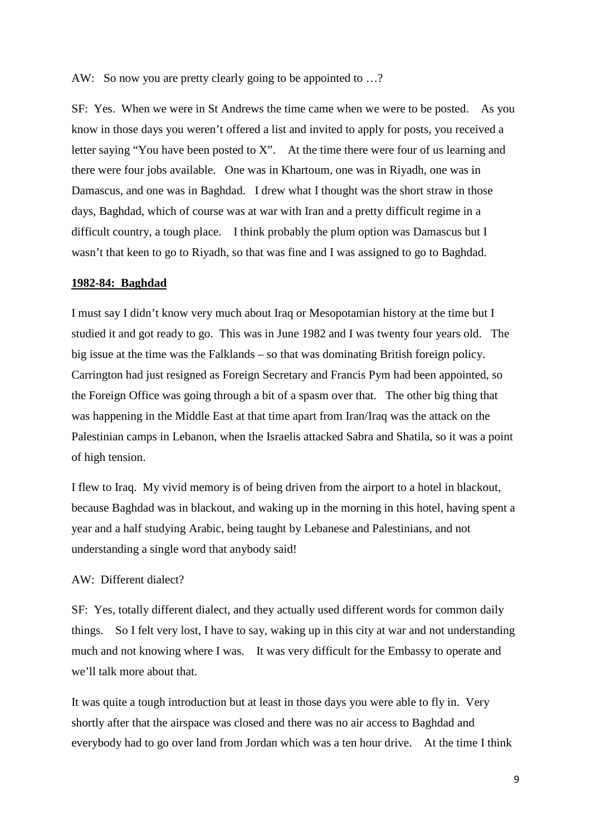AW: So now you are pretty clearly going to be appointed to ...?

SF: Yes. When we were in St Andrews the time came when we were to be posted. As you know in those days you weren't offered a list and invited to apply for posts, you received a letter saying "You have been posted to X". At the time there were four of us learning and there were four jobs available. One was in Khartoum, one was in Riyadh, one was in Damascus, and one was in Baghdad. I drew what I thought was the short straw in those days, Baghdad, which of course was at war with Iran and a pretty difficult regime in a difficult country, a tough place. I think probably the plum option was Damascus but I wasn't that keen to go to Riyadh, so that was fine and I was assigned to go to Baghdad.

#### **1982-84: Baghdad**

I must say I didn't know very much about Iraq or Mesopotamian history at the time but I studied it and got ready to go. This was in June 1982 and I was twenty four years old. The big issue at the time was the Falklands – so that was dominating British foreign policy. Carrington had just resigned as Foreign Secretary and Francis Pym had been appointed, so the Foreign Office was going through a bit of a spasm over that. The other big thing that was happening in the Middle East at that time apart from Iran/Iraq was the attack on the Palestinian camps in Lebanon, when the Israelis attacked Sabra and Shatila, so it was a point of high tension.

I flew to Iraq. My vivid memory is of being driven from the airport to a hotel in blackout, because Baghdad was in blackout, and waking up in the morning in this hotel, having spent a year and a half studying Arabic, being taught by Lebanese and Palestinians, and not understanding a single word that anybody said!

## AW: Different dialect?

SF: Yes, totally different dialect, and they actually used different words for common daily things. So I felt very lost, I have to say, waking up in this city at war and not understanding much and not knowing where I was. It was very difficult for the Embassy to operate and we'll talk more about that.

It was quite a tough introduction but at least in those days you were able to fly in. Very shortly after that the airspace was closed and there was no air access to Baghdad and everybody had to go over land from Jordan which was a ten hour drive. At the time I think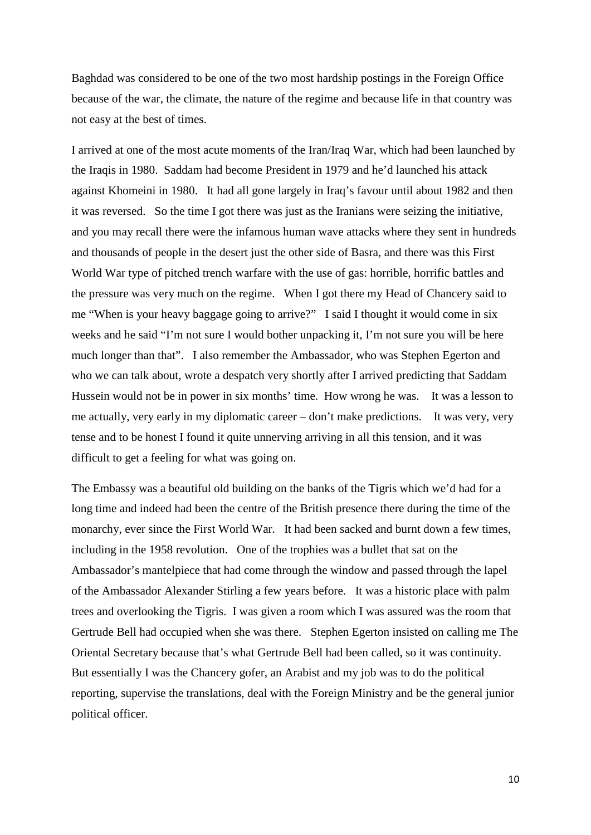Baghdad was considered to be one of the two most hardship postings in the Foreign Office because of the war, the climate, the nature of the regime and because life in that country was not easy at the best of times.

I arrived at one of the most acute moments of the Iran/Iraq War, which had been launched by the Iraqis in 1980. Saddam had become President in 1979 and he'd launched his attack against Khomeini in 1980. It had all gone largely in Iraq's favour until about 1982 and then it was reversed. So the time I got there was just as the Iranians were seizing the initiative, and you may recall there were the infamous human wave attacks where they sent in hundreds and thousands of people in the desert just the other side of Basra, and there was this First World War type of pitched trench warfare with the use of gas: horrible, horrific battles and the pressure was very much on the regime. When I got there my Head of Chancery said to me "When is your heavy baggage going to arrive?" I said I thought it would come in six weeks and he said "I'm not sure I would bother unpacking it, I'm not sure you will be here much longer than that". I also remember the Ambassador, who was Stephen Egerton and who we can talk about, wrote a despatch very shortly after I arrived predicting that Saddam Hussein would not be in power in six months' time. How wrong he was. It was a lesson to me actually, very early in my diplomatic career – don't make predictions. It was very, very tense and to be honest I found it quite unnerving arriving in all this tension, and it was difficult to get a feeling for what was going on.

The Embassy was a beautiful old building on the banks of the Tigris which we'd had for a long time and indeed had been the centre of the British presence there during the time of the monarchy, ever since the First World War. It had been sacked and burnt down a few times, including in the 1958 revolution. One of the trophies was a bullet that sat on the Ambassador's mantelpiece that had come through the window and passed through the lapel of the Ambassador Alexander Stirling a few years before. It was a historic place with palm trees and overlooking the Tigris. I was given a room which I was assured was the room that Gertrude Bell had occupied when she was there. Stephen Egerton insisted on calling me The Oriental Secretary because that's what Gertrude Bell had been called, so it was continuity. But essentially I was the Chancery gofer, an Arabist and my job was to do the political reporting, supervise the translations, deal with the Foreign Ministry and be the general junior political officer.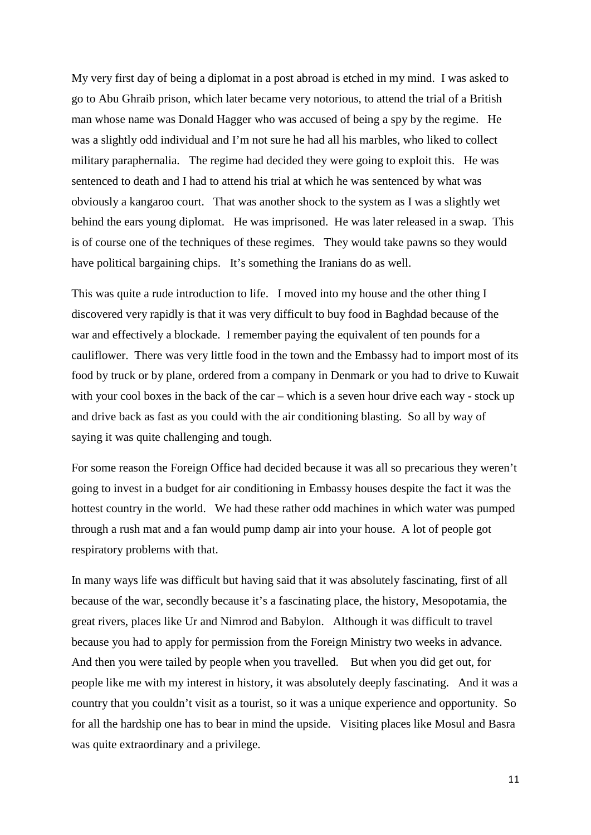My very first day of being a diplomat in a post abroad is etched in my mind. I was asked to go to Abu Ghraib prison, which later became very notorious, to attend the trial of a British man whose name was Donald Hagger who was accused of being a spy by the regime. He was a slightly odd individual and I'm not sure he had all his marbles, who liked to collect military paraphernalia. The regime had decided they were going to exploit this. He was sentenced to death and I had to attend his trial at which he was sentenced by what was obviously a kangaroo court. That was another shock to the system as I was a slightly wet behind the ears young diplomat. He was imprisoned. He was later released in a swap. This is of course one of the techniques of these regimes. They would take pawns so they would have political bargaining chips. It's something the Iranians do as well.

This was quite a rude introduction to life. I moved into my house and the other thing I discovered very rapidly is that it was very difficult to buy food in Baghdad because of the war and effectively a blockade. I remember paying the equivalent of ten pounds for a cauliflower. There was very little food in the town and the Embassy had to import most of its food by truck or by plane, ordered from a company in Denmark or you had to drive to Kuwait with your cool boxes in the back of the car – which is a seven hour drive each way - stock up and drive back as fast as you could with the air conditioning blasting. So all by way of saying it was quite challenging and tough.

For some reason the Foreign Office had decided because it was all so precarious they weren't going to invest in a budget for air conditioning in Embassy houses despite the fact it was the hottest country in the world. We had these rather odd machines in which water was pumped through a rush mat and a fan would pump damp air into your house. A lot of people got respiratory problems with that.

In many ways life was difficult but having said that it was absolutely fascinating, first of all because of the war, secondly because it's a fascinating place, the history, Mesopotamia, the great rivers, places like Ur and Nimrod and Babylon. Although it was difficult to travel because you had to apply for permission from the Foreign Ministry two weeks in advance. And then you were tailed by people when you travelled. But when you did get out, for people like me with my interest in history, it was absolutely deeply fascinating. And it was a country that you couldn't visit as a tourist, so it was a unique experience and opportunity. So for all the hardship one has to bear in mind the upside. Visiting places like Mosul and Basra was quite extraordinary and a privilege.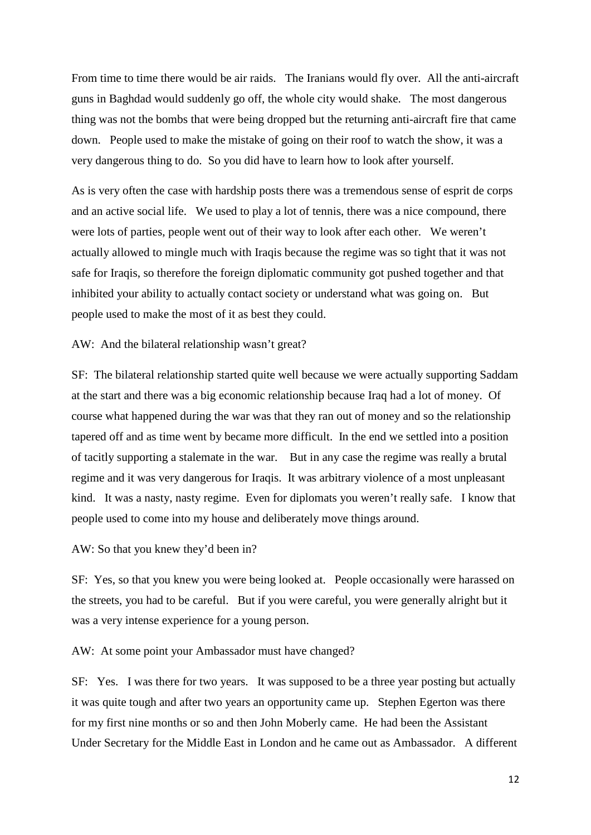From time to time there would be air raids. The Iranians would fly over. All the anti-aircraft guns in Baghdad would suddenly go off, the whole city would shake. The most dangerous thing was not the bombs that were being dropped but the returning anti-aircraft fire that came down. People used to make the mistake of going on their roof to watch the show, it was a very dangerous thing to do. So you did have to learn how to look after yourself.

As is very often the case with hardship posts there was a tremendous sense of esprit de corps and an active social life. We used to play a lot of tennis, there was a nice compound, there were lots of parties, people went out of their way to look after each other. We weren't actually allowed to mingle much with Iraqis because the regime was so tight that it was not safe for Iraqis, so therefore the foreign diplomatic community got pushed together and that inhibited your ability to actually contact society or understand what was going on. But people used to make the most of it as best they could.

## AW: And the bilateral relationship wasn't great?

SF: The bilateral relationship started quite well because we were actually supporting Saddam at the start and there was a big economic relationship because Iraq had a lot of money. Of course what happened during the war was that they ran out of money and so the relationship tapered off and as time went by became more difficult. In the end we settled into a position of tacitly supporting a stalemate in the war. But in any case the regime was really a brutal regime and it was very dangerous for Iraqis. It was arbitrary violence of a most unpleasant kind. It was a nasty, nasty regime. Even for diplomats you weren't really safe. I know that people used to come into my house and deliberately move things around.

## AW: So that you knew they'd been in?

SF: Yes, so that you knew you were being looked at. People occasionally were harassed on the streets, you had to be careful. But if you were careful, you were generally alright but it was a very intense experience for a young person.

AW: At some point your Ambassador must have changed?

SF: Yes. I was there for two years. It was supposed to be a three year posting but actually it was quite tough and after two years an opportunity came up. Stephen Egerton was there for my first nine months or so and then John Moberly came. He had been the Assistant Under Secretary for the Middle East in London and he came out as Ambassador. A different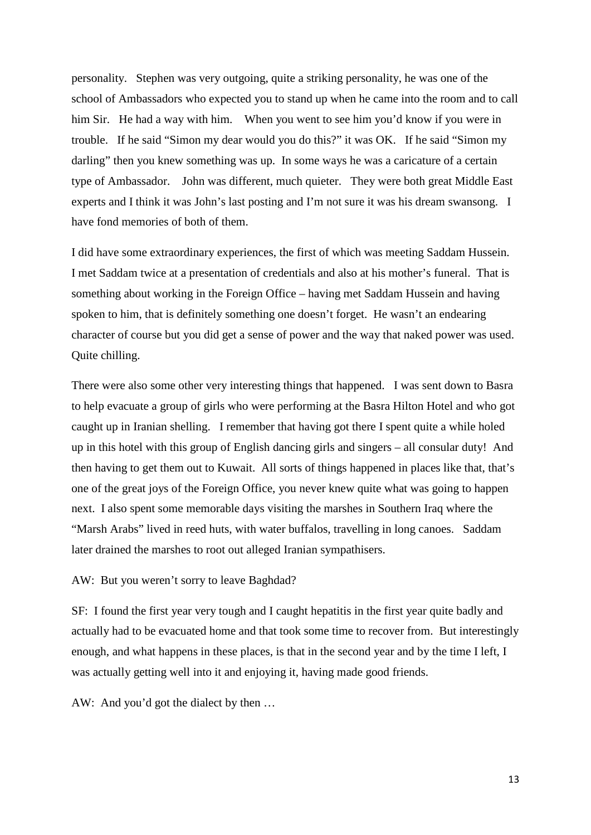personality. Stephen was very outgoing, quite a striking personality, he was one of the school of Ambassadors who expected you to stand up when he came into the room and to call him Sir. He had a way with him. When you went to see him you'd know if you were in trouble. If he said "Simon my dear would you do this?" it was OK. If he said "Simon my darling" then you knew something was up. In some ways he was a caricature of a certain type of Ambassador. John was different, much quieter. They were both great Middle East experts and I think it was John's last posting and I'm not sure it was his dream swansong. I have fond memories of both of them.

I did have some extraordinary experiences, the first of which was meeting Saddam Hussein. I met Saddam twice at a presentation of credentials and also at his mother's funeral. That is something about working in the Foreign Office – having met Saddam Hussein and having spoken to him, that is definitely something one doesn't forget. He wasn't an endearing character of course but you did get a sense of power and the way that naked power was used. Quite chilling.

There were also some other very interesting things that happened. I was sent down to Basra to help evacuate a group of girls who were performing at the Basra Hilton Hotel and who got caught up in Iranian shelling. I remember that having got there I spent quite a while holed up in this hotel with this group of English dancing girls and singers – all consular duty! And then having to get them out to Kuwait. All sorts of things happened in places like that, that's one of the great joys of the Foreign Office, you never knew quite what was going to happen next. I also spent some memorable days visiting the marshes in Southern Iraq where the "Marsh Arabs" lived in reed huts, with water buffalos, travelling in long canoes. Saddam later drained the marshes to root out alleged Iranian sympathisers.

## AW: But you weren't sorry to leave Baghdad?

SF: I found the first year very tough and I caught hepatitis in the first year quite badly and actually had to be evacuated home and that took some time to recover from. But interestingly enough, and what happens in these places, is that in the second year and by the time I left, I was actually getting well into it and enjoying it, having made good friends.

AW: And you'd got the dialect by then …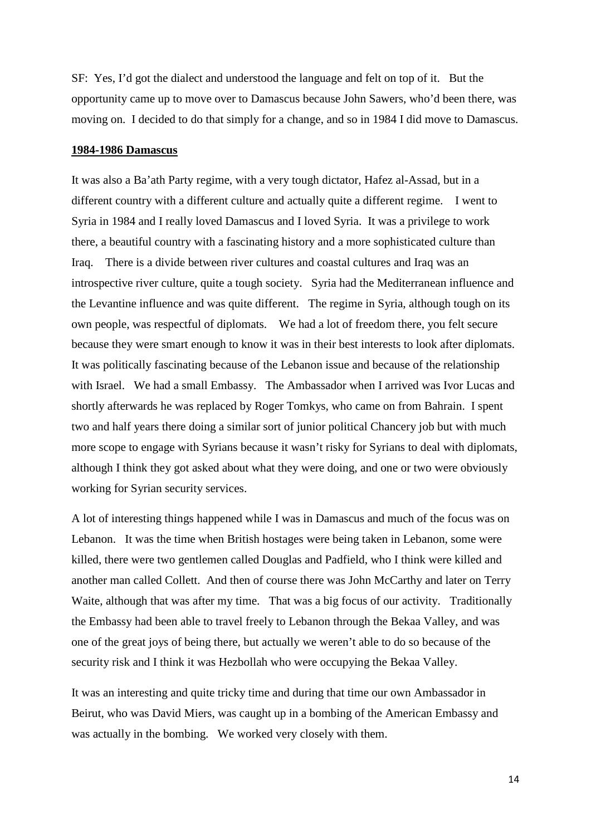SF: Yes, I'd got the dialect and understood the language and felt on top of it. But the opportunity came up to move over to Damascus because John Sawers, who'd been there, was moving on. I decided to do that simply for a change, and so in 1984 I did move to Damascus.

## **1984-1986 Damascus**

It was also a Ba'ath Party regime, with a very tough dictator, Hafez al-Assad, but in a different country with a different culture and actually quite a different regime. I went to Syria in 1984 and I really loved Damascus and I loved Syria. It was a privilege to work there, a beautiful country with a fascinating history and a more sophisticated culture than Iraq. There is a divide between river cultures and coastal cultures and Iraq was an introspective river culture, quite a tough society. Syria had the Mediterranean influence and the Levantine influence and was quite different. The regime in Syria, although tough on its own people, was respectful of diplomats. We had a lot of freedom there, you felt secure because they were smart enough to know it was in their best interests to look after diplomats. It was politically fascinating because of the Lebanon issue and because of the relationship with Israel. We had a small Embassy. The Ambassador when I arrived was Ivor Lucas and shortly afterwards he was replaced by Roger Tomkys, who came on from Bahrain. I spent two and half years there doing a similar sort of junior political Chancery job but with much more scope to engage with Syrians because it wasn't risky for Syrians to deal with diplomats, although I think they got asked about what they were doing, and one or two were obviously working for Syrian security services.

A lot of interesting things happened while I was in Damascus and much of the focus was on Lebanon. It was the time when British hostages were being taken in Lebanon, some were killed, there were two gentlemen called Douglas and Padfield, who I think were killed and another man called Collett. And then of course there was John McCarthy and later on Terry Waite, although that was after my time. That was a big focus of our activity. Traditionally the Embassy had been able to travel freely to Lebanon through the Bekaa Valley, and was one of the great joys of being there, but actually we weren't able to do so because of the security risk and I think it was Hezbollah who were occupying the Bekaa Valley.

It was an interesting and quite tricky time and during that time our own Ambassador in Beirut, who was David Miers, was caught up in a bombing of the American Embassy and was actually in the bombing. We worked very closely with them.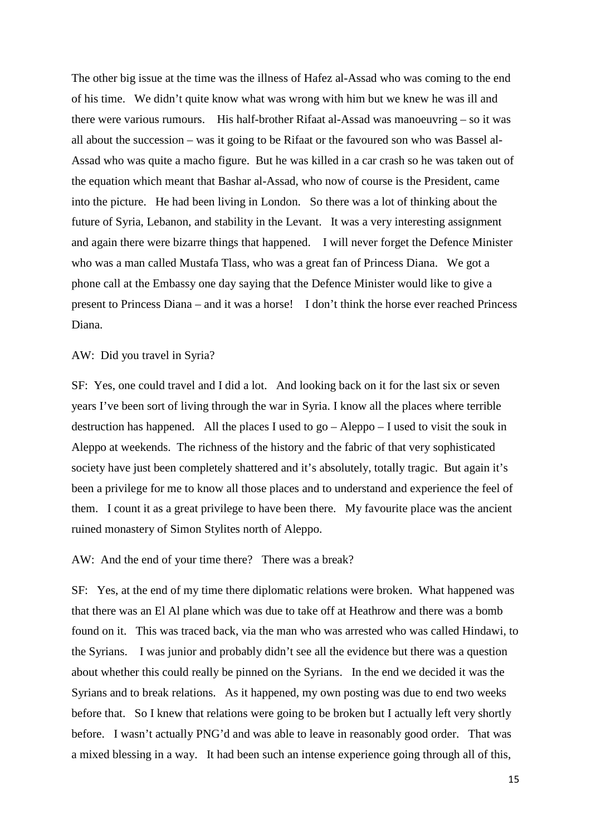The other big issue at the time was the illness of Hafez al-Assad who was coming to the end of his time. We didn't quite know what was wrong with him but we knew he was ill and there were various rumours. His half-brother Rifaat al-Assad was manoeuvring – so it was all about the succession – was it going to be Rifaat or the favoured son who was Bassel al-Assad who was quite a macho figure. But he was killed in a car crash so he was taken out of the equation which meant that Bashar al-Assad, who now of course is the President, came into the picture. He had been living in London. So there was a lot of thinking about the future of Syria, Lebanon, and stability in the Levant. It was a very interesting assignment and again there were bizarre things that happened. I will never forget the Defence Minister who was a man called Mustafa Tlass, who was a great fan of Princess Diana. We got a phone call at the Embassy one day saying that the Defence Minister would like to give a present to Princess Diana – and it was a horse! I don't think the horse ever reached Princess Diana.

## AW: Did you travel in Syria?

SF: Yes, one could travel and I did a lot. And looking back on it for the last six or seven years I've been sort of living through the war in Syria. I know all the places where terrible destruction has happened. All the places I used to go – Aleppo – I used to visit the souk in Aleppo at weekends. The richness of the history and the fabric of that very sophisticated society have just been completely shattered and it's absolutely, totally tragic. But again it's been a privilege for me to know all those places and to understand and experience the feel of them. I count it as a great privilege to have been there. My favourite place was the ancient ruined monastery of Simon Stylites north of Aleppo.

## AW: And the end of your time there? There was a break?

SF: Yes, at the end of my time there diplomatic relations were broken. What happened was that there was an El Al plane which was due to take off at Heathrow and there was a bomb found on it. This was traced back, via the man who was arrested who was called Hindawi, to the Syrians. I was junior and probably didn't see all the evidence but there was a question about whether this could really be pinned on the Syrians. In the end we decided it was the Syrians and to break relations. As it happened, my own posting was due to end two weeks before that. So I knew that relations were going to be broken but I actually left very shortly before. I wasn't actually PNG'd and was able to leave in reasonably good order. That was a mixed blessing in a way. It had been such an intense experience going through all of this,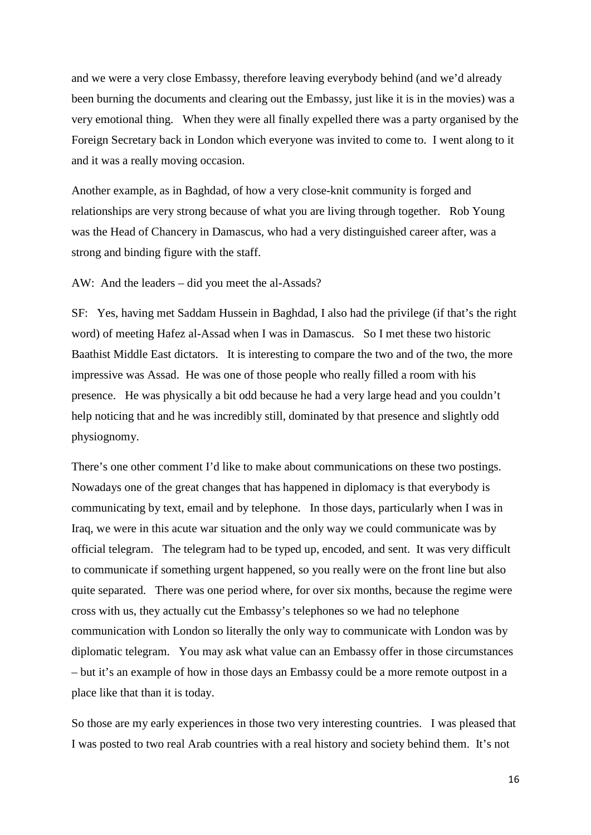and we were a very close Embassy, therefore leaving everybody behind (and we'd already been burning the documents and clearing out the Embassy, just like it is in the movies) was a very emotional thing. When they were all finally expelled there was a party organised by the Foreign Secretary back in London which everyone was invited to come to. I went along to it and it was a really moving occasion.

Another example, as in Baghdad, of how a very close-knit community is forged and relationships are very strong because of what you are living through together. Rob Young was the Head of Chancery in Damascus, who had a very distinguished career after, was a strong and binding figure with the staff.

AW: And the leaders – did you meet the al-Assads?

SF: Yes, having met Saddam Hussein in Baghdad, I also had the privilege (if that's the right word) of meeting Hafez al-Assad when I was in Damascus. So I met these two historic Baathist Middle East dictators. It is interesting to compare the two and of the two, the more impressive was Assad. He was one of those people who really filled a room with his presence. He was physically a bit odd because he had a very large head and you couldn't help noticing that and he was incredibly still, dominated by that presence and slightly odd physiognomy.

There's one other comment I'd like to make about communications on these two postings. Nowadays one of the great changes that has happened in diplomacy is that everybody is communicating by text, email and by telephone. In those days, particularly when I was in Iraq, we were in this acute war situation and the only way we could communicate was by official telegram. The telegram had to be typed up, encoded, and sent. It was very difficult to communicate if something urgent happened, so you really were on the front line but also quite separated. There was one period where, for over six months, because the regime were cross with us, they actually cut the Embassy's telephones so we had no telephone communication with London so literally the only way to communicate with London was by diplomatic telegram. You may ask what value can an Embassy offer in those circumstances – but it's an example of how in those days an Embassy could be a more remote outpost in a place like that than it is today.

So those are my early experiences in those two very interesting countries. I was pleased that I was posted to two real Arab countries with a real history and society behind them. It's not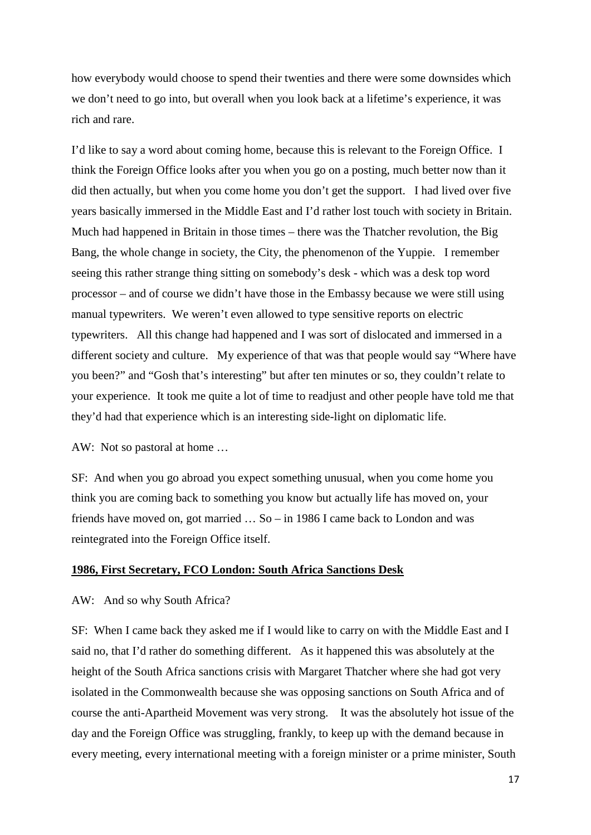how everybody would choose to spend their twenties and there were some downsides which we don't need to go into, but overall when you look back at a lifetime's experience, it was rich and rare.

I'd like to say a word about coming home, because this is relevant to the Foreign Office. I think the Foreign Office looks after you when you go on a posting, much better now than it did then actually, but when you come home you don't get the support. I had lived over five years basically immersed in the Middle East and I'd rather lost touch with society in Britain. Much had happened in Britain in those times – there was the Thatcher revolution, the Big Bang, the whole change in society, the City, the phenomenon of the Yuppie. I remember seeing this rather strange thing sitting on somebody's desk - which was a desk top word processor – and of course we didn't have those in the Embassy because we were still using manual typewriters. We weren't even allowed to type sensitive reports on electric typewriters. All this change had happened and I was sort of dislocated and immersed in a different society and culture. My experience of that was that people would say "Where have you been?" and "Gosh that's interesting" but after ten minutes or so, they couldn't relate to your experience. It took me quite a lot of time to readjust and other people have told me that they'd had that experience which is an interesting side-light on diplomatic life.

AW: Not so pastoral at home …

SF: And when you go abroad you expect something unusual, when you come home you think you are coming back to something you know but actually life has moved on, your friends have moved on, got married … So – in 1986 I came back to London and was reintegrated into the Foreign Office itself.

## **1986, First Secretary, FCO London: South Africa Sanctions Desk**

## AW: And so why South Africa?

SF: When I came back they asked me if I would like to carry on with the Middle East and I said no, that I'd rather do something different. As it happened this was absolutely at the height of the South Africa sanctions crisis with Margaret Thatcher where she had got very isolated in the Commonwealth because she was opposing sanctions on South Africa and of course the anti-Apartheid Movement was very strong. It was the absolutely hot issue of the day and the Foreign Office was struggling, frankly, to keep up with the demand because in every meeting, every international meeting with a foreign minister or a prime minister, South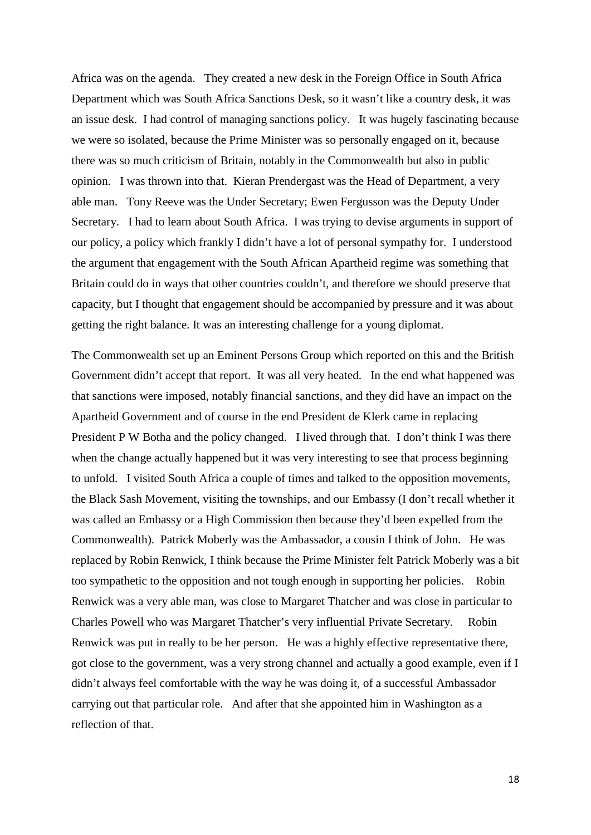Africa was on the agenda. They created a new desk in the Foreign Office in South Africa Department which was South Africa Sanctions Desk, so it wasn't like a country desk, it was an issue desk. I had control of managing sanctions policy. It was hugely fascinating because we were so isolated, because the Prime Minister was so personally engaged on it, because there was so much criticism of Britain, notably in the Commonwealth but also in public opinion. I was thrown into that. Kieran Prendergast was the Head of Department, a very able man. Tony Reeve was the Under Secretary; Ewen Fergusson was the Deputy Under Secretary. I had to learn about South Africa. I was trying to devise arguments in support of our policy, a policy which frankly I didn't have a lot of personal sympathy for. I understood the argument that engagement with the South African Apartheid regime was something that Britain could do in ways that other countries couldn't, and therefore we should preserve that capacity, but I thought that engagement should be accompanied by pressure and it was about getting the right balance. It was an interesting challenge for a young diplomat.

The Commonwealth set up an Eminent Persons Group which reported on this and the British Government didn't accept that report. It was all very heated. In the end what happened was that sanctions were imposed, notably financial sanctions, and they did have an impact on the Apartheid Government and of course in the end President de Klerk came in replacing President P W Botha and the policy changed. I lived through that. I don't think I was there when the change actually happened but it was very interesting to see that process beginning to unfold. I visited South Africa a couple of times and talked to the opposition movements, the Black Sash Movement, visiting the townships, and our Embassy (I don't recall whether it was called an Embassy or a High Commission then because they'd been expelled from the Commonwealth). Patrick Moberly was the Ambassador, a cousin I think of John. He was replaced by Robin Renwick, I think because the Prime Minister felt Patrick Moberly was a bit too sympathetic to the opposition and not tough enough in supporting her policies. Robin Renwick was a very able man, was close to Margaret Thatcher and was close in particular to Charles Powell who was Margaret Thatcher's very influential Private Secretary. Robin Renwick was put in really to be her person. He was a highly effective representative there, got close to the government, was a very strong channel and actually a good example, even if I didn't always feel comfortable with the way he was doing it, of a successful Ambassador carrying out that particular role. And after that she appointed him in Washington as a reflection of that.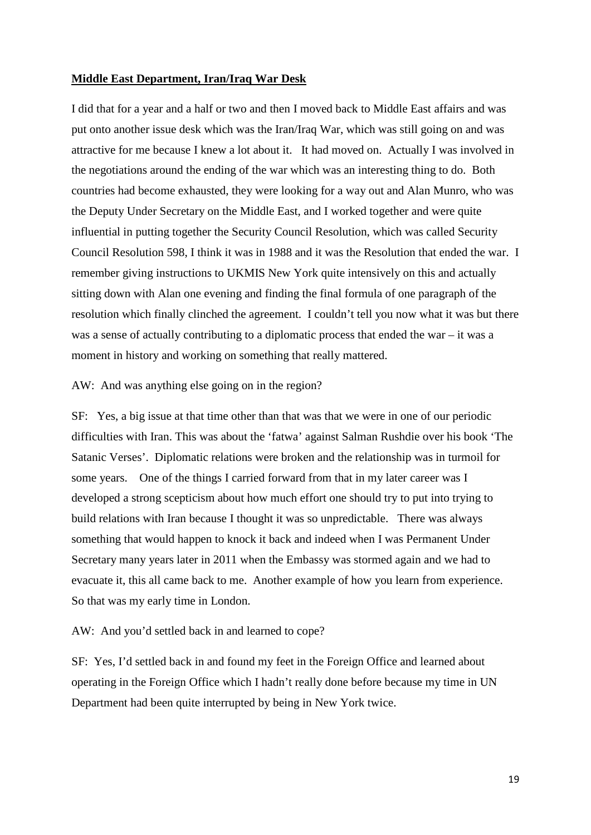## **Middle East Department, Iran/Iraq War Desk**

I did that for a year and a half or two and then I moved back to Middle East affairs and was put onto another issue desk which was the Iran/Iraq War, which was still going on and was attractive for me because I knew a lot about it. It had moved on. Actually I was involved in the negotiations around the ending of the war which was an interesting thing to do. Both countries had become exhausted, they were looking for a way out and Alan Munro, who was the Deputy Under Secretary on the Middle East, and I worked together and were quite influential in putting together the Security Council Resolution, which was called Security Council Resolution 598, I think it was in 1988 and it was the Resolution that ended the war. I remember giving instructions to UKMIS New York quite intensively on this and actually sitting down with Alan one evening and finding the final formula of one paragraph of the resolution which finally clinched the agreement. I couldn't tell you now what it was but there was a sense of actually contributing to a diplomatic process that ended the war – it was a moment in history and working on something that really mattered.

## AW: And was anything else going on in the region?

SF: Yes, a big issue at that time other than that was that we were in one of our periodic difficulties with Iran. This was about the 'fatwa' against Salman Rushdie over his book 'The Satanic Verses'. Diplomatic relations were broken and the relationship was in turmoil for some years. One of the things I carried forward from that in my later career was I developed a strong scepticism about how much effort one should try to put into trying to build relations with Iran because I thought it was so unpredictable. There was always something that would happen to knock it back and indeed when I was Permanent Under Secretary many years later in 2011 when the Embassy was stormed again and we had to evacuate it, this all came back to me. Another example of how you learn from experience. So that was my early time in London.

## AW: And you'd settled back in and learned to cope?

SF: Yes, I'd settled back in and found my feet in the Foreign Office and learned about operating in the Foreign Office which I hadn't really done before because my time in UN Department had been quite interrupted by being in New York twice.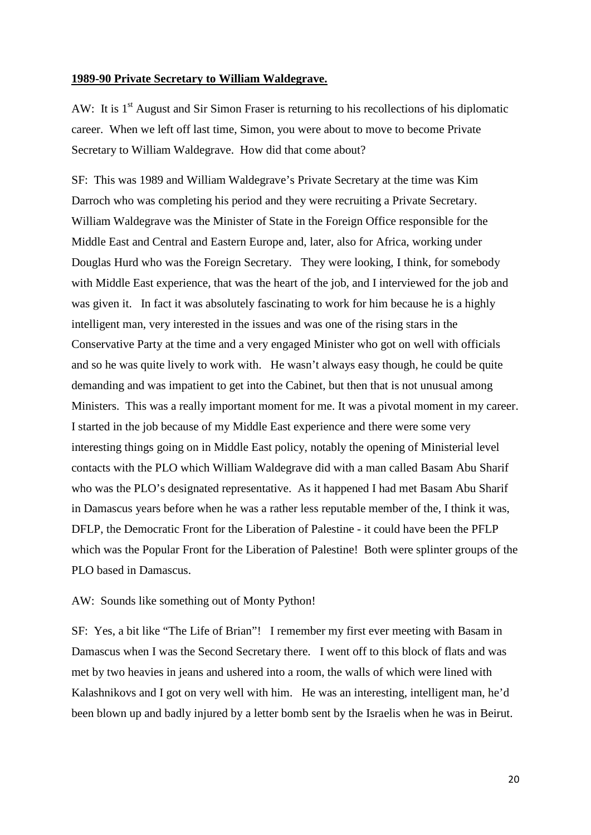## **1989-90 Private Secretary to William Waldegrave.**

AW: It is 1<sup>st</sup> August and Sir Simon Fraser is returning to his recollections of his diplomatic career. When we left off last time, Simon, you were about to move to become Private Secretary to William Waldegrave. How did that come about?

SF: This was 1989 and William Waldegrave's Private Secretary at the time was Kim Darroch who was completing his period and they were recruiting a Private Secretary. William Waldegrave was the Minister of State in the Foreign Office responsible for the Middle East and Central and Eastern Europe and, later, also for Africa, working under Douglas Hurd who was the Foreign Secretary. They were looking, I think, for somebody with Middle East experience, that was the heart of the job, and I interviewed for the job and was given it. In fact it was absolutely fascinating to work for him because he is a highly intelligent man, very interested in the issues and was one of the rising stars in the Conservative Party at the time and a very engaged Minister who got on well with officials and so he was quite lively to work with. He wasn't always easy though, he could be quite demanding and was impatient to get into the Cabinet, but then that is not unusual among Ministers. This was a really important moment for me. It was a pivotal moment in my career. I started in the job because of my Middle East experience and there were some very interesting things going on in Middle East policy, notably the opening of Ministerial level contacts with the PLO which William Waldegrave did with a man called Basam Abu Sharif who was the PLO's designated representative. As it happened I had met Basam Abu Sharif in Damascus years before when he was a rather less reputable member of the, I think it was, DFLP, the Democratic Front for the Liberation of Palestine - it could have been the PFLP which was the Popular Front for the Liberation of Palestine! Both were splinter groups of the PLO based in Damascus.

#### AW: Sounds like something out of Monty Python!

SF: Yes, a bit like "The Life of Brian"! I remember my first ever meeting with Basam in Damascus when I was the Second Secretary there. I went off to this block of flats and was met by two heavies in jeans and ushered into a room, the walls of which were lined with Kalashnikovs and I got on very well with him. He was an interesting, intelligent man, he'd been blown up and badly injured by a letter bomb sent by the Israelis when he was in Beirut.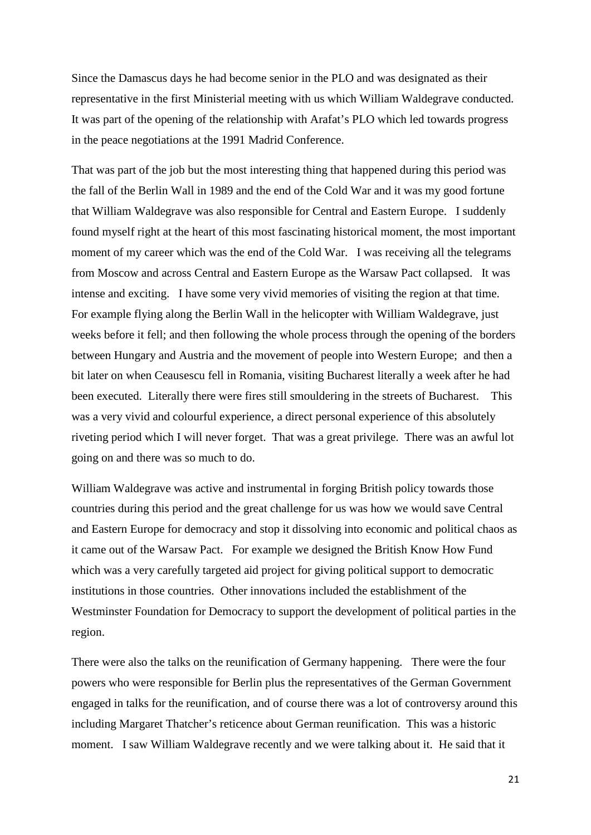Since the Damascus days he had become senior in the PLO and was designated as their representative in the first Ministerial meeting with us which William Waldegrave conducted. It was part of the opening of the relationship with Arafat's PLO which led towards progress in the peace negotiations at the 1991 Madrid Conference.

That was part of the job but the most interesting thing that happened during this period was the fall of the Berlin Wall in 1989 and the end of the Cold War and it was my good fortune that William Waldegrave was also responsible for Central and Eastern Europe. I suddenly found myself right at the heart of this most fascinating historical moment, the most important moment of my career which was the end of the Cold War. I was receiving all the telegrams from Moscow and across Central and Eastern Europe as the Warsaw Pact collapsed. It was intense and exciting. I have some very vivid memories of visiting the region at that time. For example flying along the Berlin Wall in the helicopter with William Waldegrave, just weeks before it fell; and then following the whole process through the opening of the borders between Hungary and Austria and the movement of people into Western Europe; and then a bit later on when Ceausescu fell in Romania, visiting Bucharest literally a week after he had been executed. Literally there were fires still smouldering in the streets of Bucharest. This was a very vivid and colourful experience, a direct personal experience of this absolutely riveting period which I will never forget. That was a great privilege. There was an awful lot going on and there was so much to do.

William Waldegrave was active and instrumental in forging British policy towards those countries during this period and the great challenge for us was how we would save Central and Eastern Europe for democracy and stop it dissolving into economic and political chaos as it came out of the Warsaw Pact. For example we designed the British Know How Fund which was a very carefully targeted aid project for giving political support to democratic institutions in those countries. Other innovations included the establishment of the Westminster Foundation for Democracy to support the development of political parties in the region.

There were also the talks on the reunification of Germany happening. There were the four powers who were responsible for Berlin plus the representatives of the German Government engaged in talks for the reunification, and of course there was a lot of controversy around this including Margaret Thatcher's reticence about German reunification. This was a historic moment. I saw William Waldegrave recently and we were talking about it. He said that it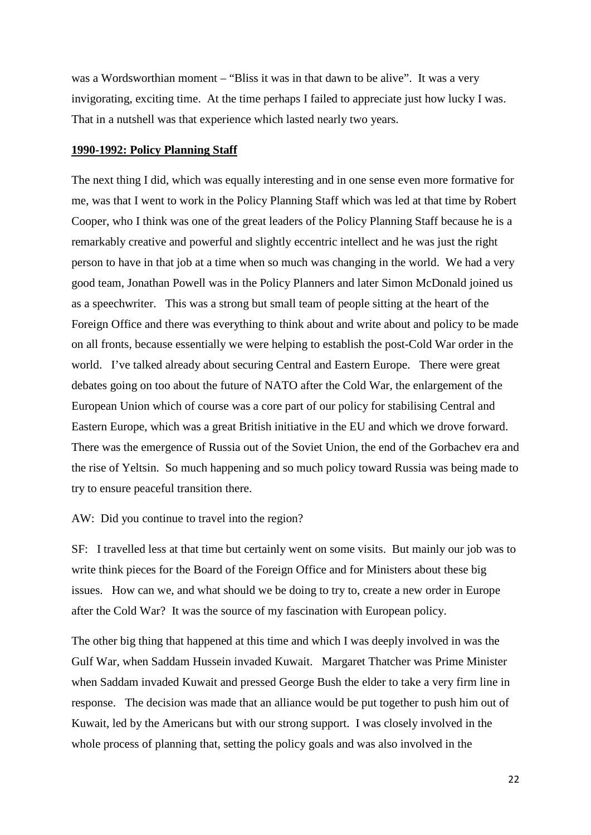was a Wordsworthian moment – "Bliss it was in that dawn to be alive". It was a very invigorating, exciting time. At the time perhaps I failed to appreciate just how lucky I was. That in a nutshell was that experience which lasted nearly two years.

## **1990-1992: Policy Planning Staff**

The next thing I did, which was equally interesting and in one sense even more formative for me, was that I went to work in the Policy Planning Staff which was led at that time by Robert Cooper, who I think was one of the great leaders of the Policy Planning Staff because he is a remarkably creative and powerful and slightly eccentric intellect and he was just the right person to have in that job at a time when so much was changing in the world. We had a very good team, Jonathan Powell was in the Policy Planners and later Simon McDonald joined us as a speechwriter. This was a strong but small team of people sitting at the heart of the Foreign Office and there was everything to think about and write about and policy to be made on all fronts, because essentially we were helping to establish the post-Cold War order in the world. I've talked already about securing Central and Eastern Europe. There were great debates going on too about the future of NATO after the Cold War, the enlargement of the European Union which of course was a core part of our policy for stabilising Central and Eastern Europe, which was a great British initiative in the EU and which we drove forward. There was the emergence of Russia out of the Soviet Union, the end of the Gorbachev era and the rise of Yeltsin. So much happening and so much policy toward Russia was being made to try to ensure peaceful transition there.

## AW: Did you continue to travel into the region?

SF: I travelled less at that time but certainly went on some visits. But mainly our job was to write think pieces for the Board of the Foreign Office and for Ministers about these big issues. How can we, and what should we be doing to try to, create a new order in Europe after the Cold War? It was the source of my fascination with European policy.

The other big thing that happened at this time and which I was deeply involved in was the Gulf War, when Saddam Hussein invaded Kuwait. Margaret Thatcher was Prime Minister when Saddam invaded Kuwait and pressed George Bush the elder to take a very firm line in response. The decision was made that an alliance would be put together to push him out of Kuwait, led by the Americans but with our strong support. I was closely involved in the whole process of planning that, setting the policy goals and was also involved in the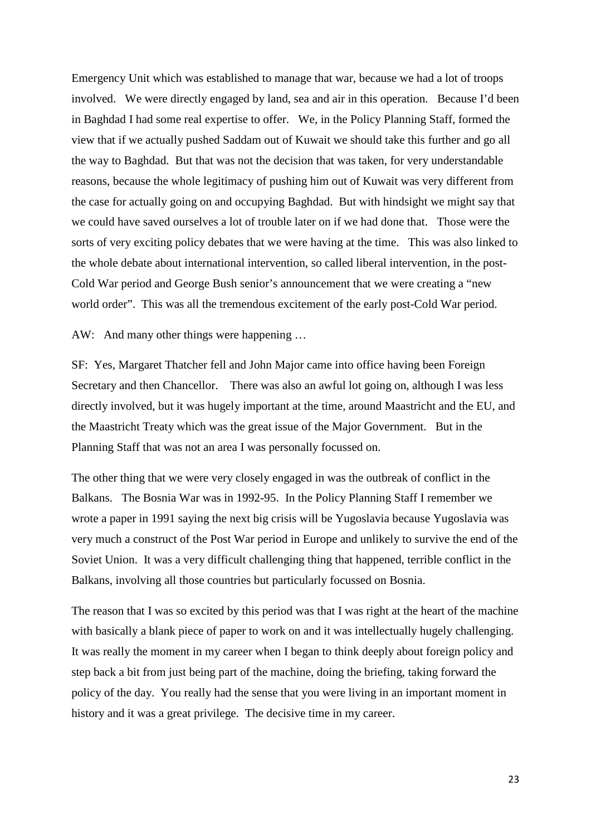Emergency Unit which was established to manage that war, because we had a lot of troops involved. We were directly engaged by land, sea and air in this operation. Because I'd been in Baghdad I had some real expertise to offer. We, in the Policy Planning Staff, formed the view that if we actually pushed Saddam out of Kuwait we should take this further and go all the way to Baghdad. But that was not the decision that was taken, for very understandable reasons, because the whole legitimacy of pushing him out of Kuwait was very different from the case for actually going on and occupying Baghdad. But with hindsight we might say that we could have saved ourselves a lot of trouble later on if we had done that. Those were the sorts of very exciting policy debates that we were having at the time. This was also linked to the whole debate about international intervention, so called liberal intervention, in the post-Cold War period and George Bush senior's announcement that we were creating a "new world order". This was all the tremendous excitement of the early post-Cold War period.

AW: And many other things were happening …

SF: Yes, Margaret Thatcher fell and John Major came into office having been Foreign Secretary and then Chancellor. There was also an awful lot going on, although I was less directly involved, but it was hugely important at the time, around Maastricht and the EU, and the Maastricht Treaty which was the great issue of the Major Government. But in the Planning Staff that was not an area I was personally focussed on.

The other thing that we were very closely engaged in was the outbreak of conflict in the Balkans. The Bosnia War was in 1992-95. In the Policy Planning Staff I remember we wrote a paper in 1991 saying the next big crisis will be Yugoslavia because Yugoslavia was very much a construct of the Post War period in Europe and unlikely to survive the end of the Soviet Union. It was a very difficult challenging thing that happened, terrible conflict in the Balkans, involving all those countries but particularly focussed on Bosnia.

The reason that I was so excited by this period was that I was right at the heart of the machine with basically a blank piece of paper to work on and it was intellectually hugely challenging. It was really the moment in my career when I began to think deeply about foreign policy and step back a bit from just being part of the machine, doing the briefing, taking forward the policy of the day. You really had the sense that you were living in an important moment in history and it was a great privilege. The decisive time in my career.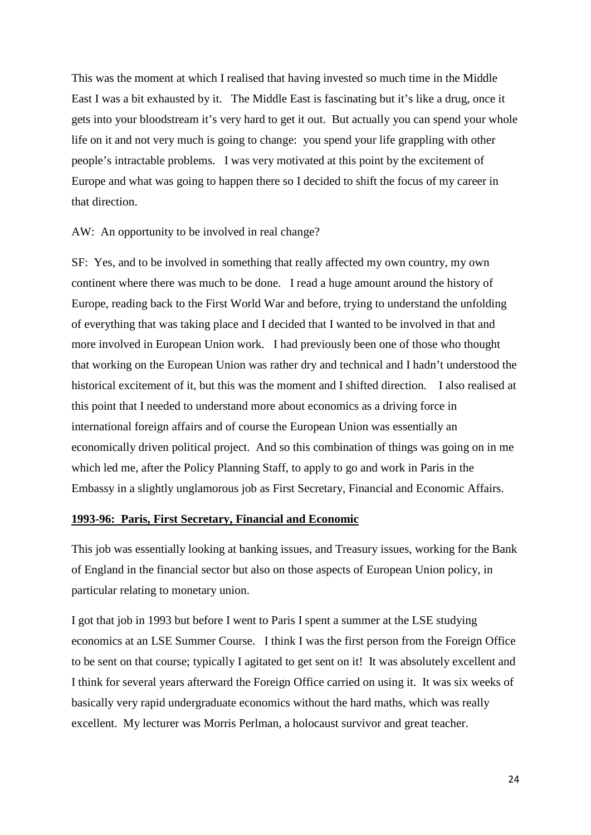This was the moment at which I realised that having invested so much time in the Middle East I was a bit exhausted by it. The Middle East is fascinating but it's like a drug, once it gets into your bloodstream it's very hard to get it out. But actually you can spend your whole life on it and not very much is going to change: you spend your life grappling with other people's intractable problems. I was very motivated at this point by the excitement of Europe and what was going to happen there so I decided to shift the focus of my career in that direction.

## AW: An opportunity to be involved in real change?

SF: Yes, and to be involved in something that really affected my own country, my own continent where there was much to be done. I read a huge amount around the history of Europe, reading back to the First World War and before, trying to understand the unfolding of everything that was taking place and I decided that I wanted to be involved in that and more involved in European Union work. I had previously been one of those who thought that working on the European Union was rather dry and technical and I hadn't understood the historical excitement of it, but this was the moment and I shifted direction. I also realised at this point that I needed to understand more about economics as a driving force in international foreign affairs and of course the European Union was essentially an economically driven political project. And so this combination of things was going on in me which led me, after the Policy Planning Staff, to apply to go and work in Paris in the Embassy in a slightly unglamorous job as First Secretary, Financial and Economic Affairs.

## **1993-96: Paris, First Secretary, Financial and Economic**

This job was essentially looking at banking issues, and Treasury issues, working for the Bank of England in the financial sector but also on those aspects of European Union policy, in particular relating to monetary union.

I got that job in 1993 but before I went to Paris I spent a summer at the LSE studying economics at an LSE Summer Course. I think I was the first person from the Foreign Office to be sent on that course; typically I agitated to get sent on it! It was absolutely excellent and I think for several years afterward the Foreign Office carried on using it. It was six weeks of basically very rapid undergraduate economics without the hard maths, which was really excellent. My lecturer was Morris Perlman, a holocaust survivor and great teacher.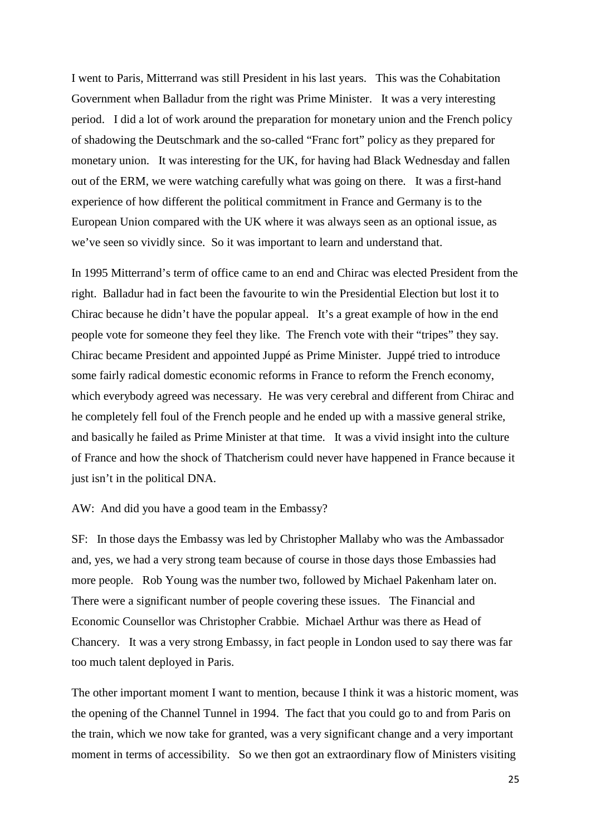I went to Paris, Mitterrand was still President in his last years. This was the Cohabitation Government when Balladur from the right was Prime Minister. It was a very interesting period. I did a lot of work around the preparation for monetary union and the French policy of shadowing the Deutschmark and the so-called "Franc fort" policy as they prepared for monetary union. It was interesting for the UK, for having had Black Wednesday and fallen out of the ERM, we were watching carefully what was going on there. It was a first-hand experience of how different the political commitment in France and Germany is to the European Union compared with the UK where it was always seen as an optional issue, as we've seen so vividly since. So it was important to learn and understand that.

In 1995 Mitterrand's term of office came to an end and Chirac was elected President from the right. Balladur had in fact been the favourite to win the Presidential Election but lost it to Chirac because he didn't have the popular appeal. It's a great example of how in the end people vote for someone they feel they like. The French vote with their "tripes" they say. Chirac became President and appointed Juppé as Prime Minister. Juppé tried to introduce some fairly radical domestic economic reforms in France to reform the French economy, which everybody agreed was necessary. He was very cerebral and different from Chirac and he completely fell foul of the French people and he ended up with a massive general strike, and basically he failed as Prime Minister at that time. It was a vivid insight into the culture of France and how the shock of Thatcherism could never have happened in France because it just isn't in the political DNA.

## AW: And did you have a good team in the Embassy?

SF: In those days the Embassy was led by Christopher Mallaby who was the Ambassador and, yes, we had a very strong team because of course in those days those Embassies had more people. Rob Young was the number two, followed by Michael Pakenham later on. There were a significant number of people covering these issues. The Financial and Economic Counsellor was Christopher Crabbie. Michael Arthur was there as Head of Chancery. It was a very strong Embassy, in fact people in London used to say there was far too much talent deployed in Paris.

The other important moment I want to mention, because I think it was a historic moment, was the opening of the Channel Tunnel in 1994. The fact that you could go to and from Paris on the train, which we now take for granted, was a very significant change and a very important moment in terms of accessibility. So we then got an extraordinary flow of Ministers visiting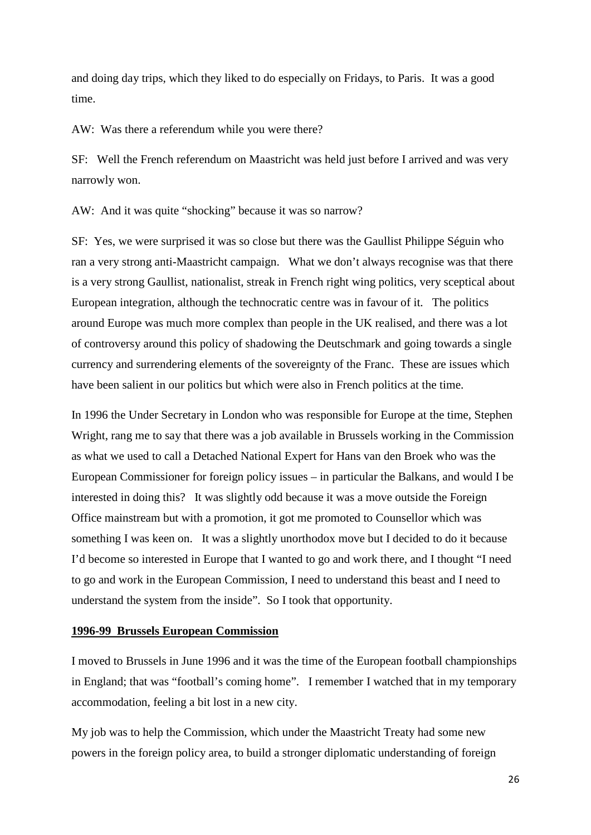and doing day trips, which they liked to do especially on Fridays, to Paris. It was a good time.

AW: Was there a referendum while you were there?

SF: Well the French referendum on Maastricht was held just before I arrived and was very narrowly won.

AW: And it was quite "shocking" because it was so narrow?

SF: Yes, we were surprised it was so close but there was the Gaullist Philippe Séguin who ran a very strong anti-Maastricht campaign. What we don't always recognise was that there is a very strong Gaullist, nationalist, streak in French right wing politics, very sceptical about European integration, although the technocratic centre was in favour of it. The politics around Europe was much more complex than people in the UK realised, and there was a lot of controversy around this policy of shadowing the Deutschmark and going towards a single currency and surrendering elements of the sovereignty of the Franc. These are issues which have been salient in our politics but which were also in French politics at the time.

In 1996 the Under Secretary in London who was responsible for Europe at the time, Stephen Wright, rang me to say that there was a job available in Brussels working in the Commission as what we used to call a Detached National Expert for Hans van den Broek who was the European Commissioner for foreign policy issues – in particular the Balkans, and would I be interested in doing this? It was slightly odd because it was a move outside the Foreign Office mainstream but with a promotion, it got me promoted to Counsellor which was something I was keen on. It was a slightly unorthodox move but I decided to do it because I'd become so interested in Europe that I wanted to go and work there, and I thought "I need to go and work in the European Commission, I need to understand this beast and I need to understand the system from the inside". So I took that opportunity.

## **1996-99 Brussels European Commission**

I moved to Brussels in June 1996 and it was the time of the European football championships in England; that was "football's coming home". I remember I watched that in my temporary accommodation, feeling a bit lost in a new city.

My job was to help the Commission, which under the Maastricht Treaty had some new powers in the foreign policy area, to build a stronger diplomatic understanding of foreign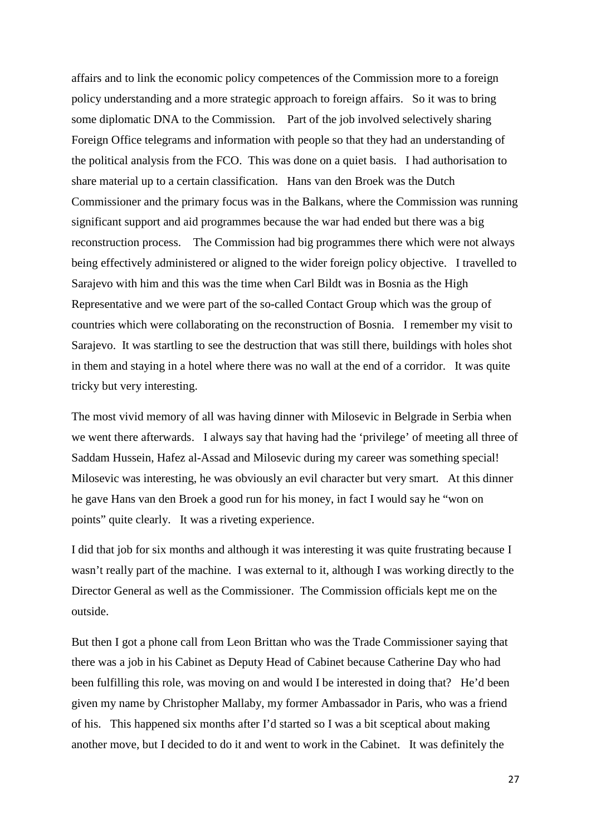affairs and to link the economic policy competences of the Commission more to a foreign policy understanding and a more strategic approach to foreign affairs. So it was to bring some diplomatic DNA to the Commission. Part of the job involved selectively sharing Foreign Office telegrams and information with people so that they had an understanding of the political analysis from the FCO. This was done on a quiet basis. I had authorisation to share material up to a certain classification. Hans van den Broek was the Dutch Commissioner and the primary focus was in the Balkans, where the Commission was running significant support and aid programmes because the war had ended but there was a big reconstruction process. The Commission had big programmes there which were not always being effectively administered or aligned to the wider foreign policy objective. I travelled to Sarajevo with him and this was the time when Carl Bildt was in Bosnia as the High Representative and we were part of the so-called Contact Group which was the group of countries which were collaborating on the reconstruction of Bosnia. I remember my visit to Sarajevo. It was startling to see the destruction that was still there, buildings with holes shot in them and staying in a hotel where there was no wall at the end of a corridor. It was quite tricky but very interesting.

The most vivid memory of all was having dinner with Milosevic in Belgrade in Serbia when we went there afterwards. I always say that having had the 'privilege' of meeting all three of Saddam Hussein, Hafez al-Assad and Milosevic during my career was something special! Milosevic was interesting, he was obviously an evil character but very smart. At this dinner he gave Hans van den Broek a good run for his money, in fact I would say he "won on points" quite clearly. It was a riveting experience.

I did that job for six months and although it was interesting it was quite frustrating because I wasn't really part of the machine. I was external to it, although I was working directly to the Director General as well as the Commissioner. The Commission officials kept me on the outside.

But then I got a phone call from Leon Brittan who was the Trade Commissioner saying that there was a job in his Cabinet as Deputy Head of Cabinet because Catherine Day who had been fulfilling this role, was moving on and would I be interested in doing that? He'd been given my name by Christopher Mallaby, my former Ambassador in Paris, who was a friend of his. This happened six months after I'd started so I was a bit sceptical about making another move, but I decided to do it and went to work in the Cabinet. It was definitely the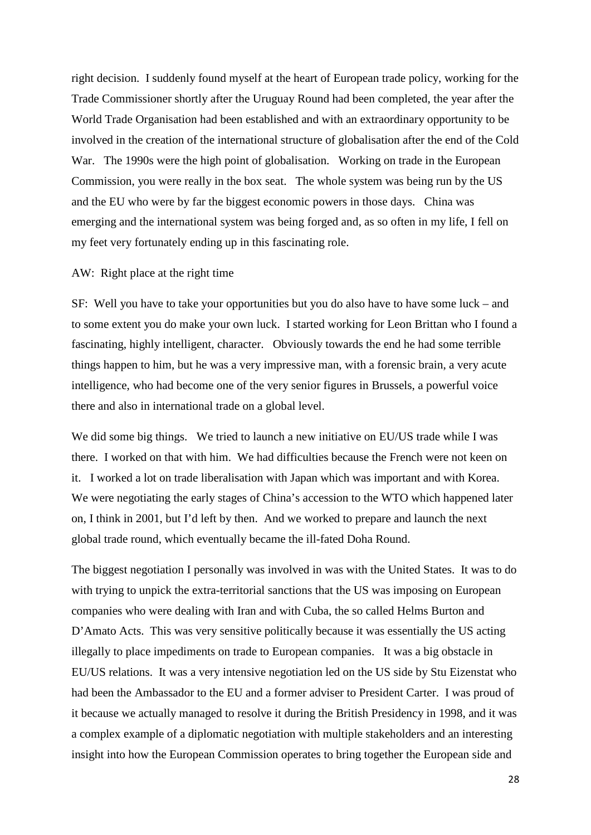right decision. I suddenly found myself at the heart of European trade policy, working for the Trade Commissioner shortly after the Uruguay Round had been completed, the year after the World Trade Organisation had been established and with an extraordinary opportunity to be involved in the creation of the international structure of globalisation after the end of the Cold War. The 1990s were the high point of globalisation. Working on trade in the European Commission, you were really in the box seat. The whole system was being run by the US and the EU who were by far the biggest economic powers in those days. China was emerging and the international system was being forged and, as so often in my life, I fell on my feet very fortunately ending up in this fascinating role.

## AW: Right place at the right time

SF: Well you have to take your opportunities but you do also have to have some luck – and to some extent you do make your own luck. I started working for Leon Brittan who I found a fascinating, highly intelligent, character. Obviously towards the end he had some terrible things happen to him, but he was a very impressive man, with a forensic brain, a very acute intelligence, who had become one of the very senior figures in Brussels, a powerful voice there and also in international trade on a global level.

We did some big things. We tried to launch a new initiative on EU/US trade while I was there. I worked on that with him. We had difficulties because the French were not keen on it. I worked a lot on trade liberalisation with Japan which was important and with Korea. We were negotiating the early stages of China's accession to the WTO which happened later on, I think in 2001, but I'd left by then. And we worked to prepare and launch the next global trade round, which eventually became the ill-fated Doha Round.

The biggest negotiation I personally was involved in was with the United States. It was to do with trying to unpick the extra-territorial sanctions that the US was imposing on European companies who were dealing with Iran and with Cuba, the so called Helms Burton and D'Amato Acts. This was very sensitive politically because it was essentially the US acting illegally to place impediments on trade to European companies. It was a big obstacle in EU/US relations. It was a very intensive negotiation led on the US side by Stu Eizenstat who had been the Ambassador to the EU and a former adviser to President Carter. I was proud of it because we actually managed to resolve it during the British Presidency in 1998, and it was a complex example of a diplomatic negotiation with multiple stakeholders and an interesting insight into how the European Commission operates to bring together the European side and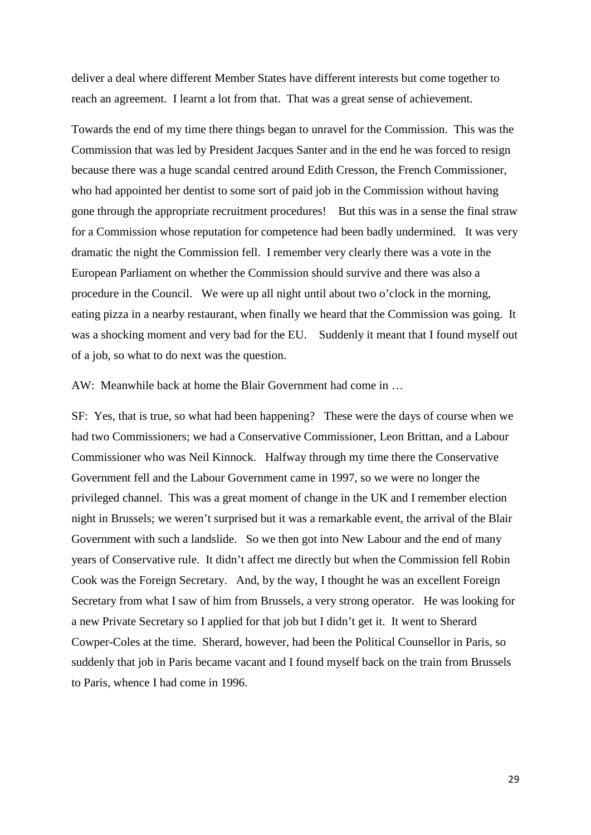deliver a deal where different Member States have different interests but come together to reach an agreement. I learnt a lot from that. That was a great sense of achievement.

Towards the end of my time there things began to unravel for the Commission. This was the Commission that was led by President Jacques Santer and in the end he was forced to resign because there was a huge scandal centred around Edith Cresson, the French Commissioner, who had appointed her dentist to some sort of paid job in the Commission without having gone through the appropriate recruitment procedures! But this was in a sense the final straw for a Commission whose reputation for competence had been badly undermined. It was very dramatic the night the Commission fell. I remember very clearly there was a vote in the European Parliament on whether the Commission should survive and there was also a procedure in the Council. We were up all night until about two o'clock in the morning, eating pizza in a nearby restaurant, when finally we heard that the Commission was going. It was a shocking moment and very bad for the EU. Suddenly it meant that I found myself out of a job, so what to do next was the question.

AW: Meanwhile back at home the Blair Government had come in …

SF: Yes, that is true, so what had been happening? These were the days of course when we had two Commissioners; we had a Conservative Commissioner, Leon Brittan, and a Labour Commissioner who was Neil Kinnock. Halfway through my time there the Conservative Government fell and the Labour Government came in 1997, so we were no longer the privileged channel. This was a great moment of change in the UK and I remember election night in Brussels; we weren't surprised but it was a remarkable event, the arrival of the Blair Government with such a landslide. So we then got into New Labour and the end of many years of Conservative rule. It didn't affect me directly but when the Commission fell Robin Cook was the Foreign Secretary. And, by the way, I thought he was an excellent Foreign Secretary from what I saw of him from Brussels, a very strong operator. He was looking for a new Private Secretary so I applied for that job but I didn't get it. It went to Sherard Cowper-Coles at the time. Sherard, however, had been the Political Counsellor in Paris, so suddenly that job in Paris became vacant and I found myself back on the train from Brussels to Paris, whence I had come in 1996.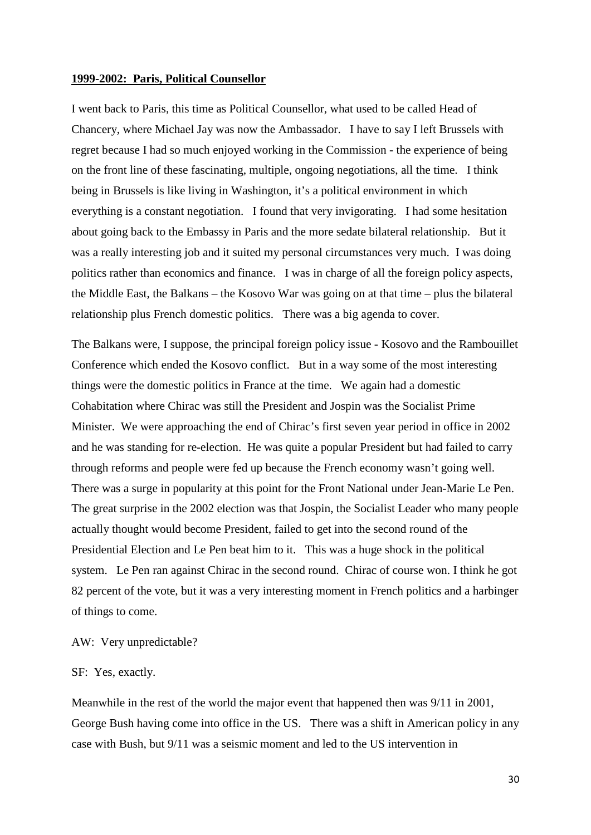#### **1999-2002: Paris, Political Counsellor**

I went back to Paris, this time as Political Counsellor, what used to be called Head of Chancery, where Michael Jay was now the Ambassador. I have to say I left Brussels with regret because I had so much enjoyed working in the Commission - the experience of being on the front line of these fascinating, multiple, ongoing negotiations, all the time. I think being in Brussels is like living in Washington, it's a political environment in which everything is a constant negotiation. I found that very invigorating. I had some hesitation about going back to the Embassy in Paris and the more sedate bilateral relationship. But it was a really interesting job and it suited my personal circumstances very much. I was doing politics rather than economics and finance. I was in charge of all the foreign policy aspects, the Middle East, the Balkans – the Kosovo War was going on at that time – plus the bilateral relationship plus French domestic politics. There was a big agenda to cover.

The Balkans were, I suppose, the principal foreign policy issue - Kosovo and the Rambouillet Conference which ended the Kosovo conflict. But in a way some of the most interesting things were the domestic politics in France at the time. We again had a domestic Cohabitation where Chirac was still the President and Jospin was the Socialist Prime Minister. We were approaching the end of Chirac's first seven year period in office in 2002 and he was standing for re-election. He was quite a popular President but had failed to carry through reforms and people were fed up because the French economy wasn't going well. There was a surge in popularity at this point for the Front National under Jean-Marie Le Pen. The great surprise in the 2002 election was that Jospin, the Socialist Leader who many people actually thought would become President, failed to get into the second round of the Presidential Election and Le Pen beat him to it. This was a huge shock in the political system. Le Pen ran against Chirac in the second round. Chirac of course won. I think he got 82 percent of the vote, but it was a very interesting moment in French politics and a harbinger of things to come.

#### AW: Very unpredictable?

## SF: Yes, exactly.

Meanwhile in the rest of the world the major event that happened then was 9/11 in 2001, George Bush having come into office in the US. There was a shift in American policy in any case with Bush, but 9/11 was a seismic moment and led to the US intervention in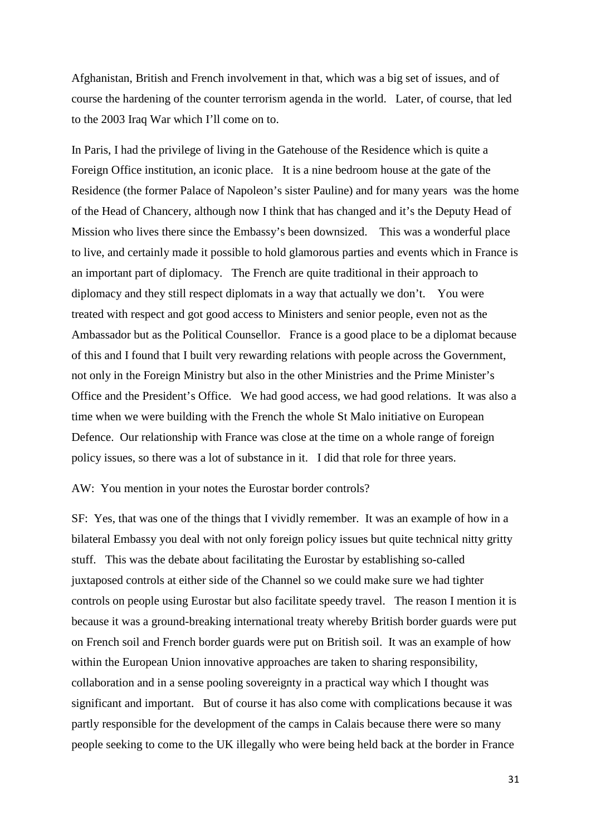Afghanistan, British and French involvement in that, which was a big set of issues, and of course the hardening of the counter terrorism agenda in the world. Later, of course, that led to the 2003 Iraq War which I'll come on to.

In Paris, I had the privilege of living in the Gatehouse of the Residence which is quite a Foreign Office institution, an iconic place. It is a nine bedroom house at the gate of the Residence (the former Palace of Napoleon's sister Pauline) and for many years was the home of the Head of Chancery, although now I think that has changed and it's the Deputy Head of Mission who lives there since the Embassy's been downsized. This was a wonderful place to live, and certainly made it possible to hold glamorous parties and events which in France is an important part of diplomacy. The French are quite traditional in their approach to diplomacy and they still respect diplomats in a way that actually we don't. You were treated with respect and got good access to Ministers and senior people, even not as the Ambassador but as the Political Counsellor. France is a good place to be a diplomat because of this and I found that I built very rewarding relations with people across the Government, not only in the Foreign Ministry but also in the other Ministries and the Prime Minister's Office and the President's Office. We had good access, we had good relations. It was also a time when we were building with the French the whole St Malo initiative on European Defence. Our relationship with France was close at the time on a whole range of foreign policy issues, so there was a lot of substance in it. I did that role for three years.

## AW: You mention in your notes the Eurostar border controls?

SF: Yes, that was one of the things that I vividly remember. It was an example of how in a bilateral Embassy you deal with not only foreign policy issues but quite technical nitty gritty stuff. This was the debate about facilitating the Eurostar by establishing so-called juxtaposed controls at either side of the Channel so we could make sure we had tighter controls on people using Eurostar but also facilitate speedy travel. The reason I mention it is because it was a ground-breaking international treaty whereby British border guards were put on French soil and French border guards were put on British soil. It was an example of how within the European Union innovative approaches are taken to sharing responsibility, collaboration and in a sense pooling sovereignty in a practical way which I thought was significant and important. But of course it has also come with complications because it was partly responsible for the development of the camps in Calais because there were so many people seeking to come to the UK illegally who were being held back at the border in France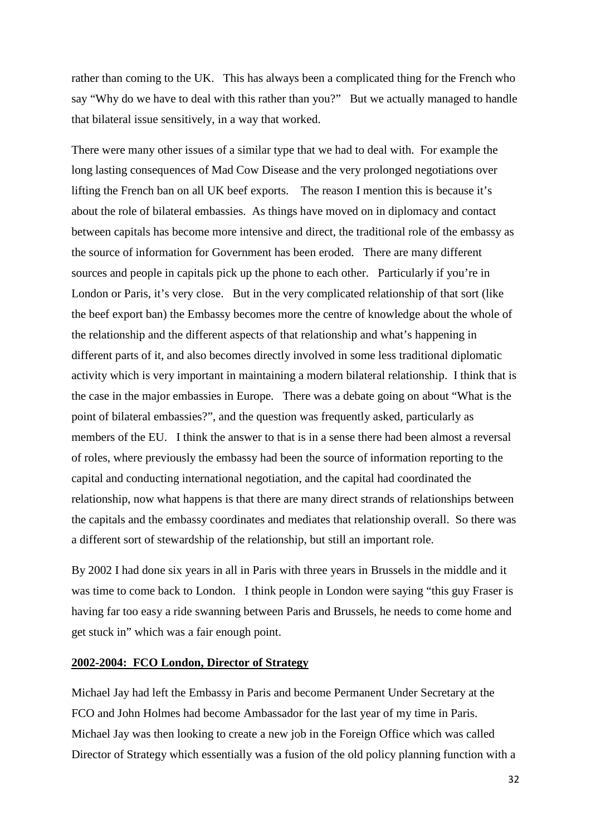rather than coming to the UK. This has always been a complicated thing for the French who say "Why do we have to deal with this rather than you?" But we actually managed to handle that bilateral issue sensitively, in a way that worked.

There were many other issues of a similar type that we had to deal with. For example the long lasting consequences of Mad Cow Disease and the very prolonged negotiations over lifting the French ban on all UK beef exports. The reason I mention this is because it's about the role of bilateral embassies. As things have moved on in diplomacy and contact between capitals has become more intensive and direct, the traditional role of the embassy as the source of information for Government has been eroded. There are many different sources and people in capitals pick up the phone to each other. Particularly if you're in London or Paris, it's very close. But in the very complicated relationship of that sort (like the beef export ban) the Embassy becomes more the centre of knowledge about the whole of the relationship and the different aspects of that relationship and what's happening in different parts of it, and also becomes directly involved in some less traditional diplomatic activity which is very important in maintaining a modern bilateral relationship. I think that is the case in the major embassies in Europe. There was a debate going on about "What is the point of bilateral embassies?", and the question was frequently asked, particularly as members of the EU. I think the answer to that is in a sense there had been almost a reversal of roles, where previously the embassy had been the source of information reporting to the capital and conducting international negotiation, and the capital had coordinated the relationship, now what happens is that there are many direct strands of relationships between the capitals and the embassy coordinates and mediates that relationship overall. So there was a different sort of stewardship of the relationship, but still an important role.

By 2002 I had done six years in all in Paris with three years in Brussels in the middle and it was time to come back to London. I think people in London were saying "this guy Fraser is having far too easy a ride swanning between Paris and Brussels, he needs to come home and get stuck in" which was a fair enough point.

#### **2002-2004: FCO London, Director of Strategy**

Michael Jay had left the Embassy in Paris and become Permanent Under Secretary at the FCO and John Holmes had become Ambassador for the last year of my time in Paris. Michael Jay was then looking to create a new job in the Foreign Office which was called Director of Strategy which essentially was a fusion of the old policy planning function with a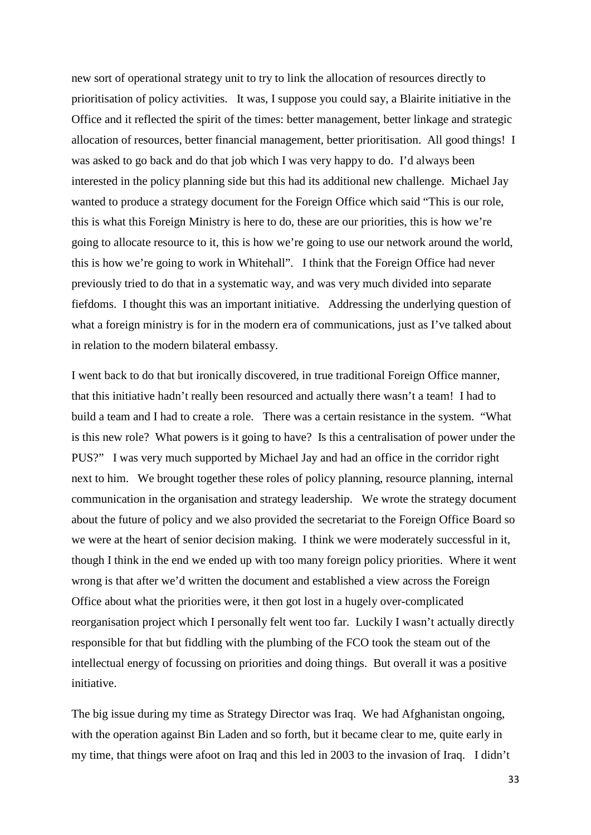new sort of operational strategy unit to try to link the allocation of resources directly to prioritisation of policy activities. It was, I suppose you could say, a Blairite initiative in the Office and it reflected the spirit of the times: better management, better linkage and strategic allocation of resources, better financial management, better prioritisation. All good things! I was asked to go back and do that job which I was very happy to do. I'd always been interested in the policy planning side but this had its additional new challenge. Michael Jay wanted to produce a strategy document for the Foreign Office which said "This is our role, this is what this Foreign Ministry is here to do, these are our priorities, this is how we're going to allocate resource to it, this is how we're going to use our network around the world, this is how we're going to work in Whitehall". I think that the Foreign Office had never previously tried to do that in a systematic way, and was very much divided into separate fiefdoms. I thought this was an important initiative. Addressing the underlying question of what a foreign ministry is for in the modern era of communications, just as I've talked about in relation to the modern bilateral embassy.

I went back to do that but ironically discovered, in true traditional Foreign Office manner, that this initiative hadn't really been resourced and actually there wasn't a team! I had to build a team and I had to create a role. There was a certain resistance in the system. "What is this new role? What powers is it going to have? Is this a centralisation of power under the PUS?" I was very much supported by Michael Jay and had an office in the corridor right next to him. We brought together these roles of policy planning, resource planning, internal communication in the organisation and strategy leadership. We wrote the strategy document about the future of policy and we also provided the secretariat to the Foreign Office Board so we were at the heart of senior decision making. I think we were moderately successful in it, though I think in the end we ended up with too many foreign policy priorities. Where it went wrong is that after we'd written the document and established a view across the Foreign Office about what the priorities were, it then got lost in a hugely over-complicated reorganisation project which I personally felt went too far. Luckily I wasn't actually directly responsible for that but fiddling with the plumbing of the FCO took the steam out of the intellectual energy of focussing on priorities and doing things. But overall it was a positive initiative.

The big issue during my time as Strategy Director was Iraq. We had Afghanistan ongoing, with the operation against Bin Laden and so forth, but it became clear to me, quite early in my time, that things were afoot on Iraq and this led in 2003 to the invasion of Iraq. I didn't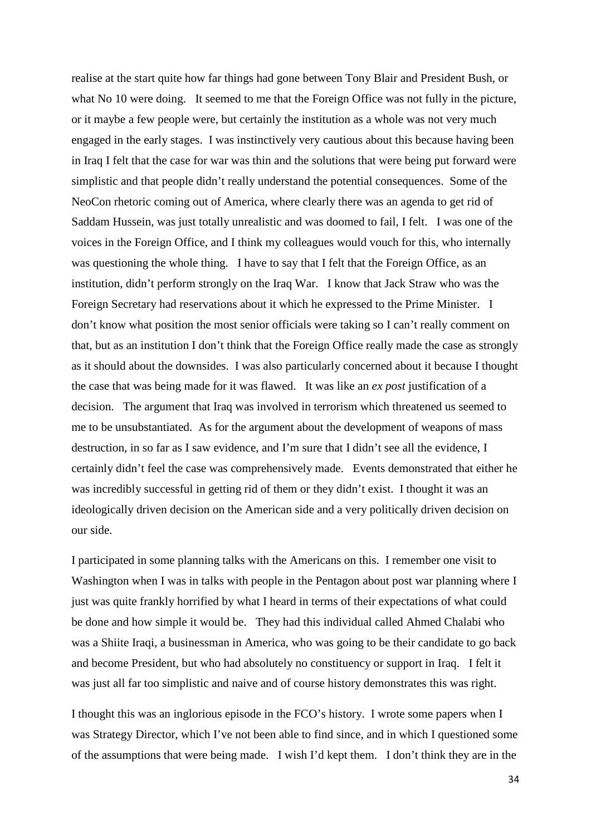realise at the start quite how far things had gone between Tony Blair and President Bush, or what No 10 were doing. It seemed to me that the Foreign Office was not fully in the picture, or it maybe a few people were, but certainly the institution as a whole was not very much engaged in the early stages. I was instinctively very cautious about this because having been in Iraq I felt that the case for war was thin and the solutions that were being put forward were simplistic and that people didn't really understand the potential consequences. Some of the NeoCon rhetoric coming out of America, where clearly there was an agenda to get rid of Saddam Hussein, was just totally unrealistic and was doomed to fail, I felt. I was one of the voices in the Foreign Office, and I think my colleagues would vouch for this, who internally was questioning the whole thing. I have to say that I felt that the Foreign Office, as an institution, didn't perform strongly on the Iraq War. I know that Jack Straw who was the Foreign Secretary had reservations about it which he expressed to the Prime Minister. I don't know what position the most senior officials were taking so I can't really comment on that, but as an institution I don't think that the Foreign Office really made the case as strongly as it should about the downsides. I was also particularly concerned about it because I thought the case that was being made for it was flawed. It was like an *ex post* justification of a decision. The argument that Iraq was involved in terrorism which threatened us seemed to me to be unsubstantiated. As for the argument about the development of weapons of mass destruction, in so far as I saw evidence, and I'm sure that I didn't see all the evidence, I certainly didn't feel the case was comprehensively made. Events demonstrated that either he was incredibly successful in getting rid of them or they didn't exist. I thought it was an ideologically driven decision on the American side and a very politically driven decision on our side.

I participated in some planning talks with the Americans on this. I remember one visit to Washington when I was in talks with people in the Pentagon about post war planning where I just was quite frankly horrified by what I heard in terms of their expectations of what could be done and how simple it would be. They had this individual called Ahmed Chalabi who was a Shiite Iraqi, a businessman in America, who was going to be their candidate to go back and become President, but who had absolutely no constituency or support in Iraq. I felt it was just all far too simplistic and naive and of course history demonstrates this was right.

I thought this was an inglorious episode in the FCO's history. I wrote some papers when I was Strategy Director, which I've not been able to find since, and in which I questioned some of the assumptions that were being made. I wish I'd kept them. I don't think they are in the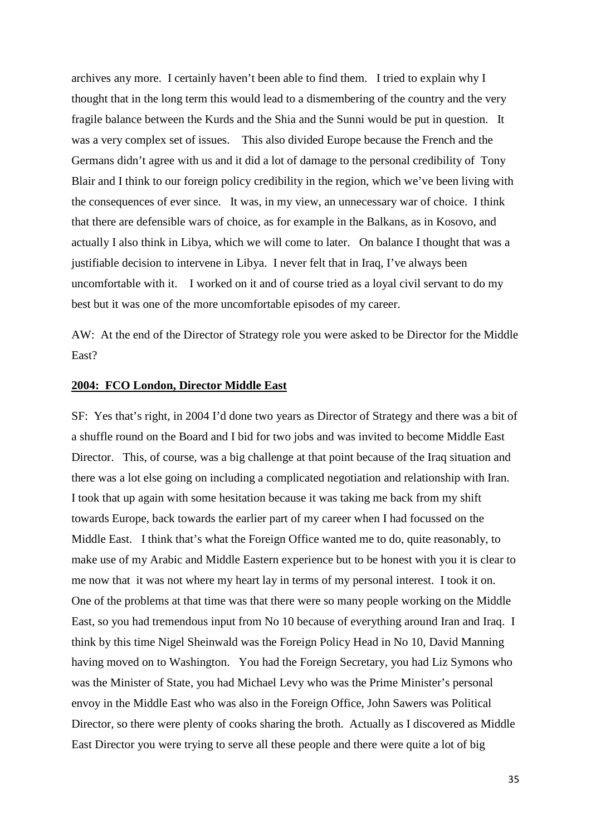archives any more. I certainly haven't been able to find them. I tried to explain why I thought that in the long term this would lead to a dismembering of the country and the very fragile balance between the Kurds and the Shia and the Sunni would be put in question. It was a very complex set of issues. This also divided Europe because the French and the Germans didn't agree with us and it did a lot of damage to the personal credibility of Tony Blair and I think to our foreign policy credibility in the region, which we've been living with the consequences of ever since. It was, in my view, an unnecessary war of choice. I think that there are defensible wars of choice, as for example in the Balkans, as in Kosovo, and actually I also think in Libya, which we will come to later. On balance I thought that was a justifiable decision to intervene in Libya. I never felt that in Iraq, I've always been uncomfortable with it. I worked on it and of course tried as a loyal civil servant to do my best but it was one of the more uncomfortable episodes of my career.

AW: At the end of the Director of Strategy role you were asked to be Director for the Middle East?

## **2004: FCO London, Director Middle East**

SF: Yes that's right, in 2004 I'd done two years as Director of Strategy and there was a bit of a shuffle round on the Board and I bid for two jobs and was invited to become Middle East Director. This, of course, was a big challenge at that point because of the Iraq situation and there was a lot else going on including a complicated negotiation and relationship with Iran. I took that up again with some hesitation because it was taking me back from my shift towards Europe, back towards the earlier part of my career when I had focussed on the Middle East. I think that's what the Foreign Office wanted me to do, quite reasonably, to make use of my Arabic and Middle Eastern experience but to be honest with you it is clear to me now that it was not where my heart lay in terms of my personal interest. I took it on. One of the problems at that time was that there were so many people working on the Middle East, so you had tremendous input from No 10 because of everything around Iran and Iraq. I think by this time Nigel Sheinwald was the Foreign Policy Head in No 10, David Manning having moved on to Washington. You had the Foreign Secretary, you had Liz Symons who was the Minister of State, you had Michael Levy who was the Prime Minister's personal envoy in the Middle East who was also in the Foreign Office, John Sawers was Political Director, so there were plenty of cooks sharing the broth. Actually as I discovered as Middle East Director you were trying to serve all these people and there were quite a lot of big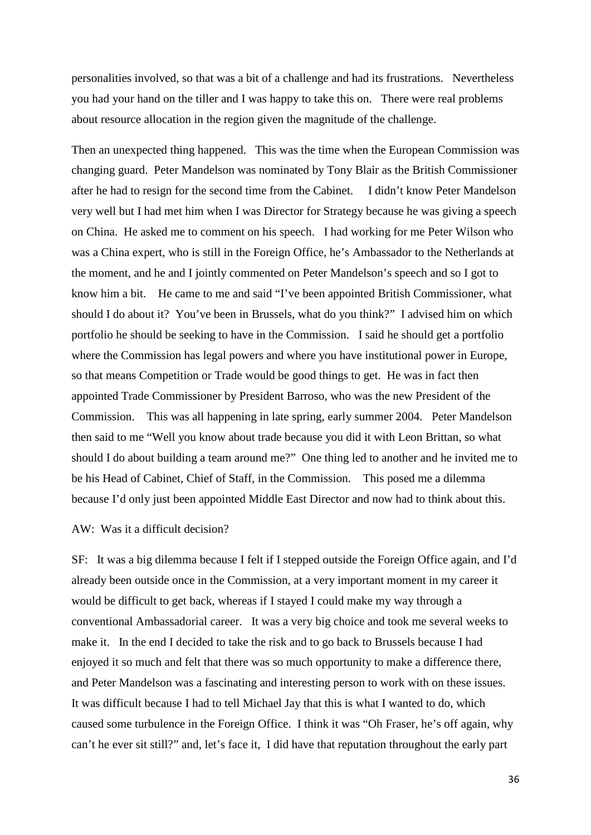personalities involved, so that was a bit of a challenge and had its frustrations. Nevertheless you had your hand on the tiller and I was happy to take this on. There were real problems about resource allocation in the region given the magnitude of the challenge.

Then an unexpected thing happened. This was the time when the European Commission was changing guard. Peter Mandelson was nominated by Tony Blair as the British Commissioner after he had to resign for the second time from the Cabinet. I didn't know Peter Mandelson very well but I had met him when I was Director for Strategy because he was giving a speech on China. He asked me to comment on his speech. I had working for me Peter Wilson who was a China expert, who is still in the Foreign Office, he's Ambassador to the Netherlands at the moment, and he and I jointly commented on Peter Mandelson's speech and so I got to know him a bit. He came to me and said "I've been appointed British Commissioner, what should I do about it? You've been in Brussels, what do you think?" I advised him on which portfolio he should be seeking to have in the Commission. I said he should get a portfolio where the Commission has legal powers and where you have institutional power in Europe, so that means Competition or Trade would be good things to get. He was in fact then appointed Trade Commissioner by President Barroso, who was the new President of the Commission. This was all happening in late spring, early summer 2004. Peter Mandelson then said to me "Well you know about trade because you did it with Leon Brittan, so what should I do about building a team around me?" One thing led to another and he invited me to be his Head of Cabinet, Chief of Staff, in the Commission. This posed me a dilemma because I'd only just been appointed Middle East Director and now had to think about this.

## AW: Was it a difficult decision?

SF: It was a big dilemma because I felt if I stepped outside the Foreign Office again, and I'd already been outside once in the Commission, at a very important moment in my career it would be difficult to get back, whereas if I stayed I could make my way through a conventional Ambassadorial career. It was a very big choice and took me several weeks to make it. In the end I decided to take the risk and to go back to Brussels because I had enjoyed it so much and felt that there was so much opportunity to make a difference there, and Peter Mandelson was a fascinating and interesting person to work with on these issues. It was difficult because I had to tell Michael Jay that this is what I wanted to do, which caused some turbulence in the Foreign Office. I think it was "Oh Fraser, he's off again, why can't he ever sit still?" and, let's face it, I did have that reputation throughout the early part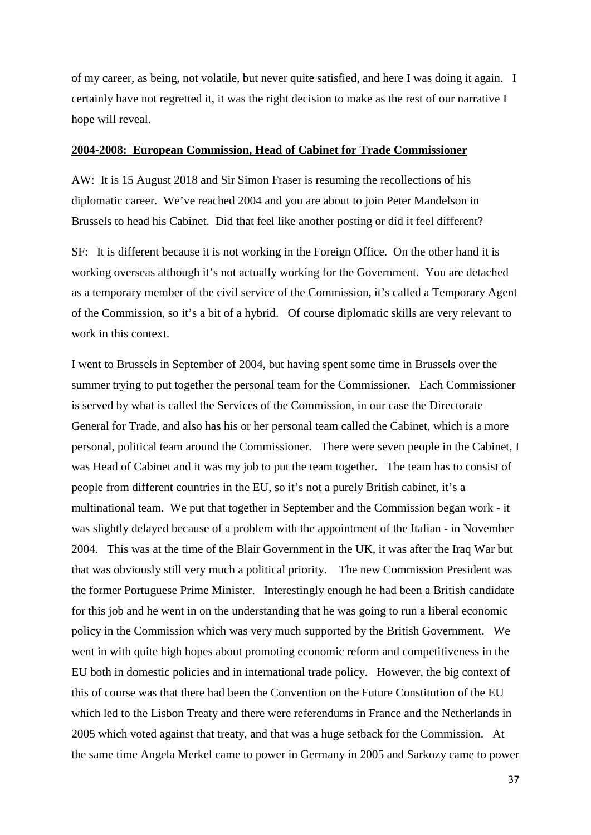of my career, as being, not volatile, but never quite satisfied, and here I was doing it again. I certainly have not regretted it, it was the right decision to make as the rest of our narrative I hope will reveal.

#### **2004-2008: European Commission, Head of Cabinet for Trade Commissioner**

AW: It is 15 August 2018 and Sir Simon Fraser is resuming the recollections of his diplomatic career. We've reached 2004 and you are about to join Peter Mandelson in Brussels to head his Cabinet. Did that feel like another posting or did it feel different?

SF: It is different because it is not working in the Foreign Office. On the other hand it is working overseas although it's not actually working for the Government. You are detached as a temporary member of the civil service of the Commission, it's called a Temporary Agent of the Commission, so it's a bit of a hybrid. Of course diplomatic skills are very relevant to work in this context.

I went to Brussels in September of 2004, but having spent some time in Brussels over the summer trying to put together the personal team for the Commissioner. Each Commissioner is served by what is called the Services of the Commission, in our case the Directorate General for Trade, and also has his or her personal team called the Cabinet, which is a more personal, political team around the Commissioner. There were seven people in the Cabinet, I was Head of Cabinet and it was my job to put the team together. The team has to consist of people from different countries in the EU, so it's not a purely British cabinet, it's a multinational team. We put that together in September and the Commission began work - it was slightly delayed because of a problem with the appointment of the Italian - in November 2004. This was at the time of the Blair Government in the UK, it was after the Iraq War but that was obviously still very much a political priority. The new Commission President was the former Portuguese Prime Minister. Interestingly enough he had been a British candidate for this job and he went in on the understanding that he was going to run a liberal economic policy in the Commission which was very much supported by the British Government. We went in with quite high hopes about promoting economic reform and competitiveness in the EU both in domestic policies and in international trade policy. However, the big context of this of course was that there had been the Convention on the Future Constitution of the EU which led to the Lisbon Treaty and there were referendums in France and the Netherlands in 2005 which voted against that treaty, and that was a huge setback for the Commission. At the same time Angela Merkel came to power in Germany in 2005 and Sarkozy came to power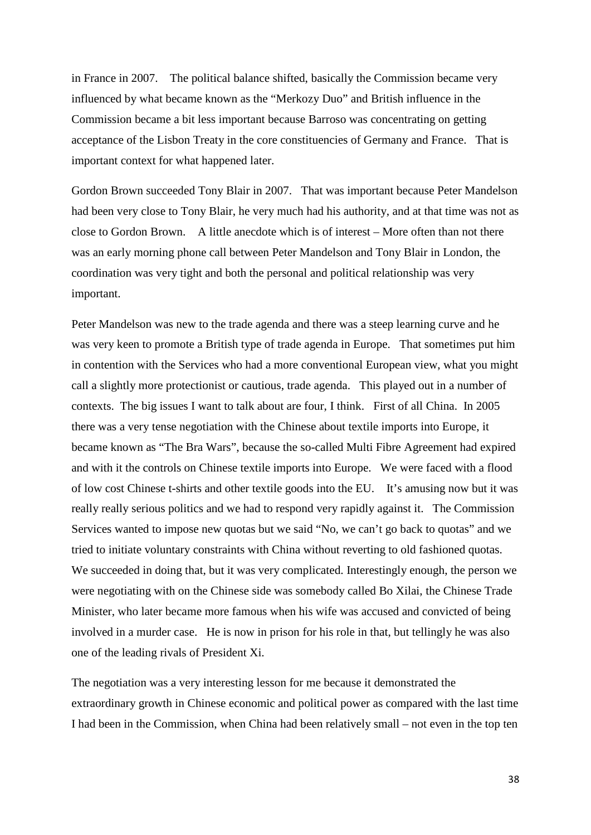in France in 2007. The political balance shifted, basically the Commission became very influenced by what became known as the "Merkozy Duo" and British influence in the Commission became a bit less important because Barroso was concentrating on getting acceptance of the Lisbon Treaty in the core constituencies of Germany and France. That is important context for what happened later.

Gordon Brown succeeded Tony Blair in 2007. That was important because Peter Mandelson had been very close to Tony Blair, he very much had his authority, and at that time was not as close to Gordon Brown. A little anecdote which is of interest – More often than not there was an early morning phone call between Peter Mandelson and Tony Blair in London, the coordination was very tight and both the personal and political relationship was very important.

Peter Mandelson was new to the trade agenda and there was a steep learning curve and he was very keen to promote a British type of trade agenda in Europe. That sometimes put him in contention with the Services who had a more conventional European view, what you might call a slightly more protectionist or cautious, trade agenda. This played out in a number of contexts. The big issues I want to talk about are four, I think. First of all China. In 2005 there was a very tense negotiation with the Chinese about textile imports into Europe, it became known as "The Bra Wars", because the so-called Multi Fibre Agreement had expired and with it the controls on Chinese textile imports into Europe. We were faced with a flood of low cost Chinese t-shirts and other textile goods into the EU. It's amusing now but it was really really serious politics and we had to respond very rapidly against it. The Commission Services wanted to impose new quotas but we said "No, we can't go back to quotas" and we tried to initiate voluntary constraints with China without reverting to old fashioned quotas. We succeeded in doing that, but it was very complicated. Interestingly enough, the person we were negotiating with on the Chinese side was somebody called Bo Xilai, the Chinese Trade Minister, who later became more famous when his wife was accused and convicted of being involved in a murder case. He is now in prison for his role in that, but tellingly he was also one of the leading rivals of President Xi.

The negotiation was a very interesting lesson for me because it demonstrated the extraordinary growth in Chinese economic and political power as compared with the last time I had been in the Commission, when China had been relatively small – not even in the top ten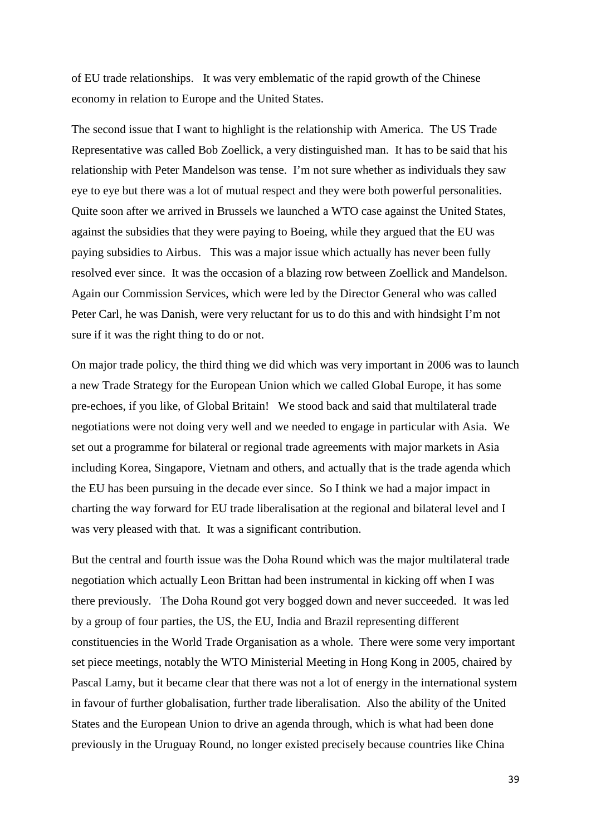of EU trade relationships. It was very emblematic of the rapid growth of the Chinese economy in relation to Europe and the United States.

The second issue that I want to highlight is the relationship with America. The US Trade Representative was called Bob Zoellick, a very distinguished man. It has to be said that his relationship with Peter Mandelson was tense. I'm not sure whether as individuals they saw eye to eye but there was a lot of mutual respect and they were both powerful personalities. Quite soon after we arrived in Brussels we launched a WTO case against the United States, against the subsidies that they were paying to Boeing, while they argued that the EU was paying subsidies to Airbus. This was a major issue which actually has never been fully resolved ever since. It was the occasion of a blazing row between Zoellick and Mandelson. Again our Commission Services, which were led by the Director General who was called Peter Carl, he was Danish, were very reluctant for us to do this and with hindsight I'm not sure if it was the right thing to do or not.

On major trade policy, the third thing we did which was very important in 2006 was to launch a new Trade Strategy for the European Union which we called Global Europe, it has some pre-echoes, if you like, of Global Britain! We stood back and said that multilateral trade negotiations were not doing very well and we needed to engage in particular with Asia. We set out a programme for bilateral or regional trade agreements with major markets in Asia including Korea, Singapore, Vietnam and others, and actually that is the trade agenda which the EU has been pursuing in the decade ever since. So I think we had a major impact in charting the way forward for EU trade liberalisation at the regional and bilateral level and I was very pleased with that. It was a significant contribution.

But the central and fourth issue was the Doha Round which was the major multilateral trade negotiation which actually Leon Brittan had been instrumental in kicking off when I was there previously. The Doha Round got very bogged down and never succeeded. It was led by a group of four parties, the US, the EU, India and Brazil representing different constituencies in the World Trade Organisation as a whole. There were some very important set piece meetings, notably the WTO Ministerial Meeting in Hong Kong in 2005, chaired by Pascal Lamy, but it became clear that there was not a lot of energy in the international system in favour of further globalisation, further trade liberalisation. Also the ability of the United States and the European Union to drive an agenda through, which is what had been done previously in the Uruguay Round, no longer existed precisely because countries like China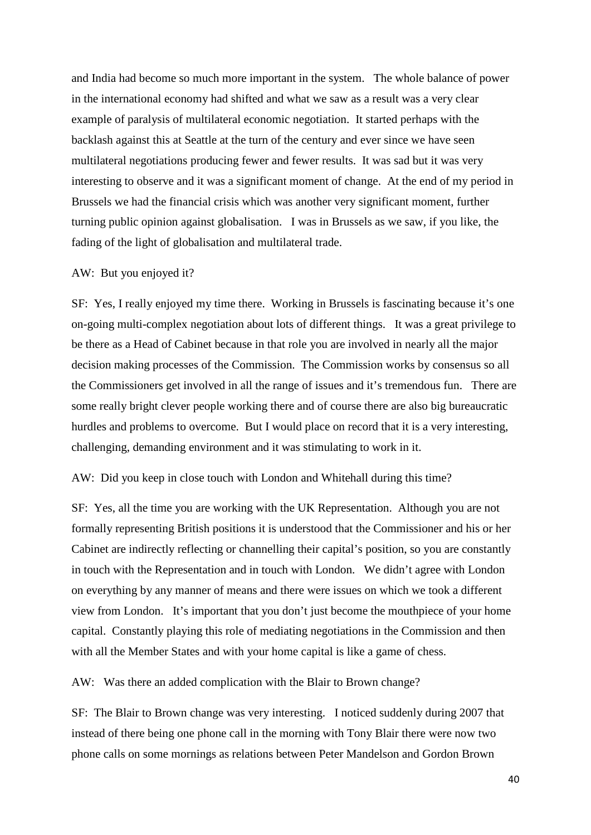and India had become so much more important in the system. The whole balance of power in the international economy had shifted and what we saw as a result was a very clear example of paralysis of multilateral economic negotiation. It started perhaps with the backlash against this at Seattle at the turn of the century and ever since we have seen multilateral negotiations producing fewer and fewer results. It was sad but it was very interesting to observe and it was a significant moment of change. At the end of my period in Brussels we had the financial crisis which was another very significant moment, further turning public opinion against globalisation. I was in Brussels as we saw, if you like, the fading of the light of globalisation and multilateral trade.

#### AW: But you enjoyed it?

SF: Yes, I really enjoyed my time there. Working in Brussels is fascinating because it's one on-going multi-complex negotiation about lots of different things. It was a great privilege to be there as a Head of Cabinet because in that role you are involved in nearly all the major decision making processes of the Commission. The Commission works by consensus so all the Commissioners get involved in all the range of issues and it's tremendous fun. There are some really bright clever people working there and of course there are also big bureaucratic hurdles and problems to overcome. But I would place on record that it is a very interesting, challenging, demanding environment and it was stimulating to work in it.

#### AW: Did you keep in close touch with London and Whitehall during this time?

SF: Yes, all the time you are working with the UK Representation. Although you are not formally representing British positions it is understood that the Commissioner and his or her Cabinet are indirectly reflecting or channelling their capital's position, so you are constantly in touch with the Representation and in touch with London. We didn't agree with London on everything by any manner of means and there were issues on which we took a different view from London. It's important that you don't just become the mouthpiece of your home capital. Constantly playing this role of mediating negotiations in the Commission and then with all the Member States and with your home capital is like a game of chess.

AW: Was there an added complication with the Blair to Brown change?

SF: The Blair to Brown change was very interesting. I noticed suddenly during 2007 that instead of there being one phone call in the morning with Tony Blair there were now two phone calls on some mornings as relations between Peter Mandelson and Gordon Brown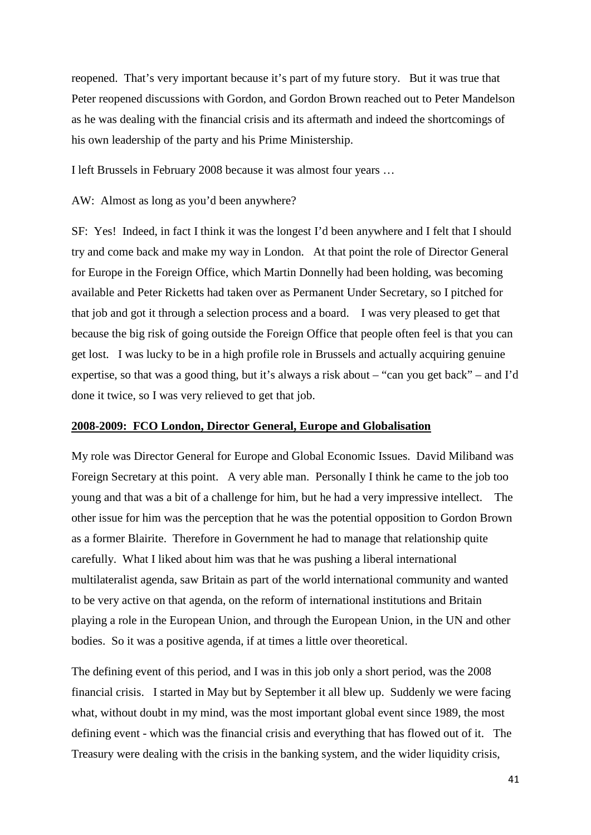reopened. That's very important because it's part of my future story. But it was true that Peter reopened discussions with Gordon, and Gordon Brown reached out to Peter Mandelson as he was dealing with the financial crisis and its aftermath and indeed the shortcomings of his own leadership of the party and his Prime Ministership.

I left Brussels in February 2008 because it was almost four years …

AW: Almost as long as you'd been anywhere?

SF: Yes! Indeed, in fact I think it was the longest I'd been anywhere and I felt that I should try and come back and make my way in London. At that point the role of Director General for Europe in the Foreign Office, which Martin Donnelly had been holding, was becoming available and Peter Ricketts had taken over as Permanent Under Secretary, so I pitched for that job and got it through a selection process and a board. I was very pleased to get that because the big risk of going outside the Foreign Office that people often feel is that you can get lost. I was lucky to be in a high profile role in Brussels and actually acquiring genuine expertise, so that was a good thing, but it's always a risk about – "can you get back" – and I'd done it twice, so I was very relieved to get that job.

## **2008-2009: FCO London, Director General, Europe and Globalisation**

My role was Director General for Europe and Global Economic Issues. David Miliband was Foreign Secretary at this point. A very able man. Personally I think he came to the job too young and that was a bit of a challenge for him, but he had a very impressive intellect. The other issue for him was the perception that he was the potential opposition to Gordon Brown as a former Blairite. Therefore in Government he had to manage that relationship quite carefully. What I liked about him was that he was pushing a liberal international multilateralist agenda, saw Britain as part of the world international community and wanted to be very active on that agenda, on the reform of international institutions and Britain playing a role in the European Union, and through the European Union, in the UN and other bodies. So it was a positive agenda, if at times a little over theoretical.

The defining event of this period, and I was in this job only a short period, was the 2008 financial crisis. I started in May but by September it all blew up. Suddenly we were facing what, without doubt in my mind, was the most important global event since 1989, the most defining event - which was the financial crisis and everything that has flowed out of it. The Treasury were dealing with the crisis in the banking system, and the wider liquidity crisis,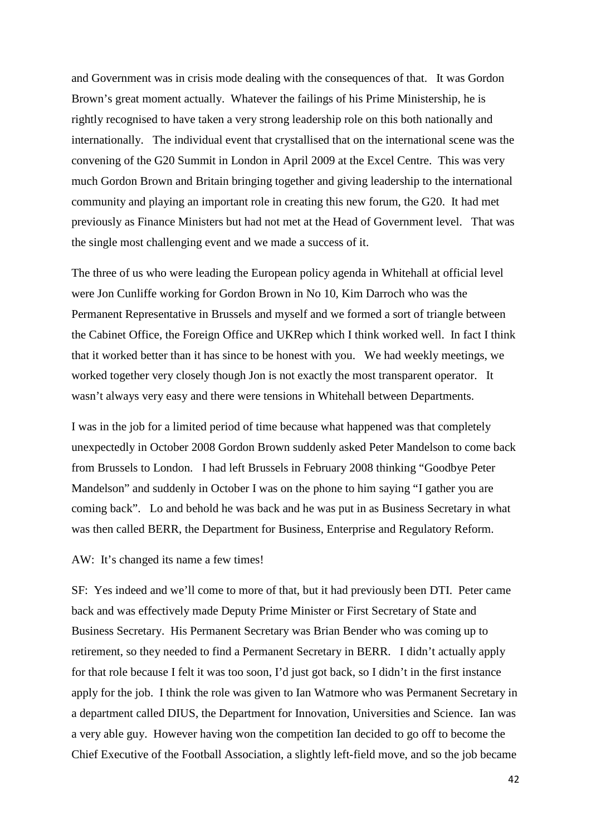and Government was in crisis mode dealing with the consequences of that. It was Gordon Brown's great moment actually. Whatever the failings of his Prime Ministership, he is rightly recognised to have taken a very strong leadership role on this both nationally and internationally. The individual event that crystallised that on the international scene was the convening of the G20 Summit in London in April 2009 at the Excel Centre. This was very much Gordon Brown and Britain bringing together and giving leadership to the international community and playing an important role in creating this new forum, the G20. It had met previously as Finance Ministers but had not met at the Head of Government level. That was the single most challenging event and we made a success of it.

The three of us who were leading the European policy agenda in Whitehall at official level were Jon Cunliffe working for Gordon Brown in No 10, Kim Darroch who was the Permanent Representative in Brussels and myself and we formed a sort of triangle between the Cabinet Office, the Foreign Office and UKRep which I think worked well. In fact I think that it worked better than it has since to be honest with you. We had weekly meetings, we worked together very closely though Jon is not exactly the most transparent operator. It wasn't always very easy and there were tensions in Whitehall between Departments.

I was in the job for a limited period of time because what happened was that completely unexpectedly in October 2008 Gordon Brown suddenly asked Peter Mandelson to come back from Brussels to London. I had left Brussels in February 2008 thinking "Goodbye Peter Mandelson" and suddenly in October I was on the phone to him saying "I gather you are coming back". Lo and behold he was back and he was put in as Business Secretary in what was then called BERR, the Department for Business, Enterprise and Regulatory Reform.

## AW: It's changed its name a few times!

SF: Yes indeed and we'll come to more of that, but it had previously been DTI. Peter came back and was effectively made Deputy Prime Minister or First Secretary of State and Business Secretary. His Permanent Secretary was Brian Bender who was coming up to retirement, so they needed to find a Permanent Secretary in BERR. I didn't actually apply for that role because I felt it was too soon, I'd just got back, so I didn't in the first instance apply for the job. I think the role was given to Ian Watmore who was Permanent Secretary in a department called DIUS, the Department for Innovation, Universities and Science. Ian was a very able guy. However having won the competition Ian decided to go off to become the Chief Executive of the Football Association, a slightly left-field move, and so the job became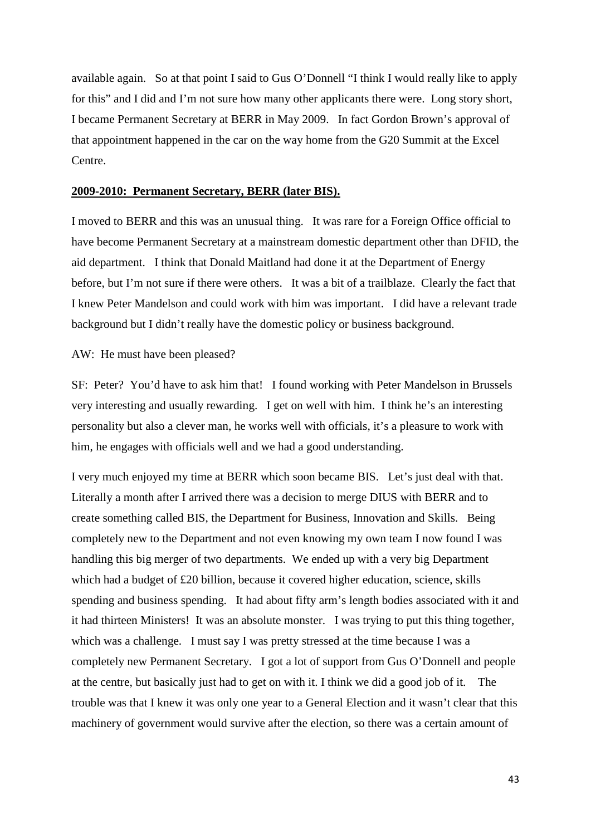available again. So at that point I said to Gus O'Donnell "I think I would really like to apply for this" and I did and I'm not sure how many other applicants there were. Long story short, I became Permanent Secretary at BERR in May 2009. In fact Gordon Brown's approval of that appointment happened in the car on the way home from the G20 Summit at the Excel Centre.

## **2009-2010: Permanent Secretary, BERR (later BIS).**

I moved to BERR and this was an unusual thing. It was rare for a Foreign Office official to have become Permanent Secretary at a mainstream domestic department other than DFID, the aid department. I think that Donald Maitland had done it at the Department of Energy before, but I'm not sure if there were others. It was a bit of a trailblaze. Clearly the fact that I knew Peter Mandelson and could work with him was important. I did have a relevant trade background but I didn't really have the domestic policy or business background.

AW: He must have been pleased?

SF: Peter? You'd have to ask him that! I found working with Peter Mandelson in Brussels very interesting and usually rewarding. I get on well with him. I think he's an interesting personality but also a clever man, he works well with officials, it's a pleasure to work with him, he engages with officials well and we had a good understanding.

I very much enjoyed my time at BERR which soon became BIS. Let's just deal with that. Literally a month after I arrived there was a decision to merge DIUS with BERR and to create something called BIS, the Department for Business, Innovation and Skills. Being completely new to the Department and not even knowing my own team I now found I was handling this big merger of two departments. We ended up with a very big Department which had a budget of £20 billion, because it covered higher education, science, skills spending and business spending. It had about fifty arm's length bodies associated with it and it had thirteen Ministers! It was an absolute monster. I was trying to put this thing together, which was a challenge. I must say I was pretty stressed at the time because I was a completely new Permanent Secretary. I got a lot of support from Gus O'Donnell and people at the centre, but basically just had to get on with it. I think we did a good job of it. The trouble was that I knew it was only one year to a General Election and it wasn't clear that this machinery of government would survive after the election, so there was a certain amount of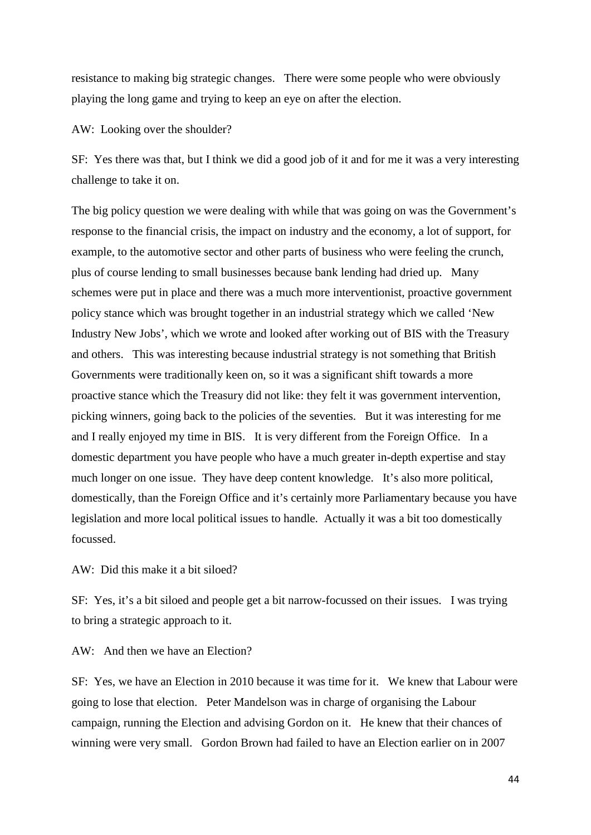resistance to making big strategic changes. There were some people who were obviously playing the long game and trying to keep an eye on after the election.

AW: Looking over the shoulder?

SF: Yes there was that, but I think we did a good job of it and for me it was a very interesting challenge to take it on.

The big policy question we were dealing with while that was going on was the Government's response to the financial crisis, the impact on industry and the economy, a lot of support, for example, to the automotive sector and other parts of business who were feeling the crunch, plus of course lending to small businesses because bank lending had dried up. Many schemes were put in place and there was a much more interventionist, proactive government policy stance which was brought together in an industrial strategy which we called 'New Industry New Jobs', which we wrote and looked after working out of BIS with the Treasury and others. This was interesting because industrial strategy is not something that British Governments were traditionally keen on, so it was a significant shift towards a more proactive stance which the Treasury did not like: they felt it was government intervention, picking winners, going back to the policies of the seventies. But it was interesting for me and I really enjoyed my time in BIS. It is very different from the Foreign Office. In a domestic department you have people who have a much greater in-depth expertise and stay much longer on one issue. They have deep content knowledge. It's also more political, domestically, than the Foreign Office and it's certainly more Parliamentary because you have legislation and more local political issues to handle. Actually it was a bit too domestically focussed.

AW: Did this make it a bit siloed?

SF: Yes, it's a bit siloed and people get a bit narrow-focussed on their issues. I was trying to bring a strategic approach to it.

AW: And then we have an Election?

SF: Yes, we have an Election in 2010 because it was time for it. We knew that Labour were going to lose that election. Peter Mandelson was in charge of organising the Labour campaign, running the Election and advising Gordon on it. He knew that their chances of winning were very small. Gordon Brown had failed to have an Election earlier on in 2007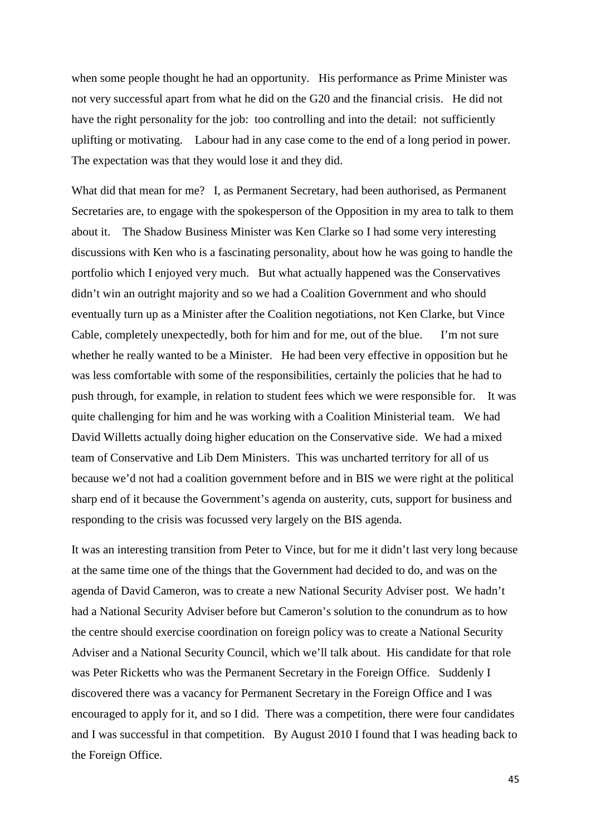when some people thought he had an opportunity. His performance as Prime Minister was not very successful apart from what he did on the G20 and the financial crisis. He did not have the right personality for the job: too controlling and into the detail: not sufficiently uplifting or motivating. Labour had in any case come to the end of a long period in power. The expectation was that they would lose it and they did.

What did that mean for me? I, as Permanent Secretary, had been authorised, as Permanent Secretaries are, to engage with the spokesperson of the Opposition in my area to talk to them about it. The Shadow Business Minister was Ken Clarke so I had some very interesting discussions with Ken who is a fascinating personality, about how he was going to handle the portfolio which I enjoyed very much. But what actually happened was the Conservatives didn't win an outright majority and so we had a Coalition Government and who should eventually turn up as a Minister after the Coalition negotiations, not Ken Clarke, but Vince Cable, completely unexpectedly, both for him and for me, out of the blue. I'm not sure whether he really wanted to be a Minister. He had been very effective in opposition but he was less comfortable with some of the responsibilities, certainly the policies that he had to push through, for example, in relation to student fees which we were responsible for. It was quite challenging for him and he was working with a Coalition Ministerial team. We had David Willetts actually doing higher education on the Conservative side. We had a mixed team of Conservative and Lib Dem Ministers. This was uncharted territory for all of us because we'd not had a coalition government before and in BIS we were right at the political sharp end of it because the Government's agenda on austerity, cuts, support for business and responding to the crisis was focussed very largely on the BIS agenda.

It was an interesting transition from Peter to Vince, but for me it didn't last very long because at the same time one of the things that the Government had decided to do, and was on the agenda of David Cameron, was to create a new National Security Adviser post. We hadn't had a National Security Adviser before but Cameron's solution to the conundrum as to how the centre should exercise coordination on foreign policy was to create a National Security Adviser and a National Security Council, which we'll talk about. His candidate for that role was Peter Ricketts who was the Permanent Secretary in the Foreign Office. Suddenly I discovered there was a vacancy for Permanent Secretary in the Foreign Office and I was encouraged to apply for it, and so I did. There was a competition, there were four candidates and I was successful in that competition. By August 2010 I found that I was heading back to the Foreign Office.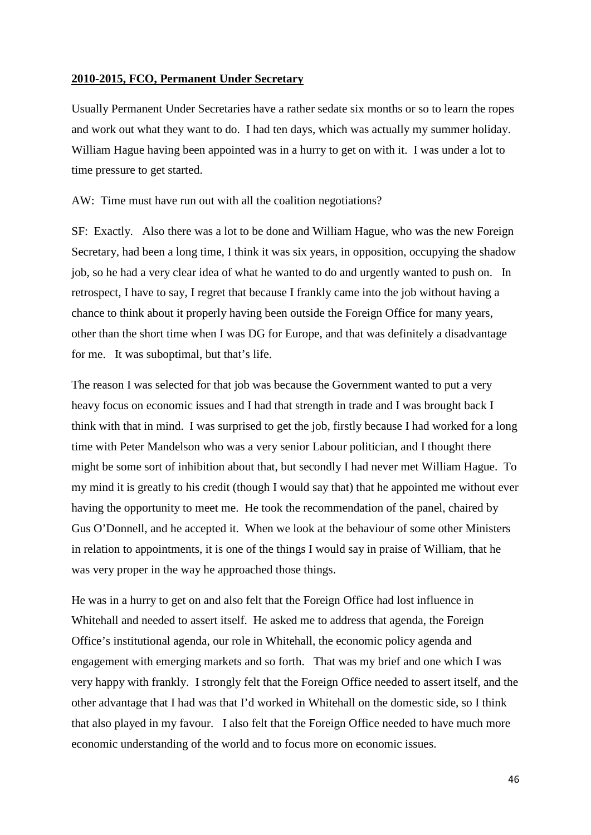## **2010-2015, FCO, Permanent Under Secretary**

Usually Permanent Under Secretaries have a rather sedate six months or so to learn the ropes and work out what they want to do. I had ten days, which was actually my summer holiday. William Hague having been appointed was in a hurry to get on with it. I was under a lot to time pressure to get started.

AW: Time must have run out with all the coalition negotiations?

SF: Exactly. Also there was a lot to be done and William Hague, who was the new Foreign Secretary, had been a long time, I think it was six years, in opposition, occupying the shadow job, so he had a very clear idea of what he wanted to do and urgently wanted to push on. In retrospect, I have to say, I regret that because I frankly came into the job without having a chance to think about it properly having been outside the Foreign Office for many years, other than the short time when I was DG for Europe, and that was definitely a disadvantage for me. It was suboptimal, but that's life.

The reason I was selected for that job was because the Government wanted to put a very heavy focus on economic issues and I had that strength in trade and I was brought back I think with that in mind. I was surprised to get the job, firstly because I had worked for a long time with Peter Mandelson who was a very senior Labour politician, and I thought there might be some sort of inhibition about that, but secondly I had never met William Hague. To my mind it is greatly to his credit (though I would say that) that he appointed me without ever having the opportunity to meet me. He took the recommendation of the panel, chaired by Gus O'Donnell, and he accepted it. When we look at the behaviour of some other Ministers in relation to appointments, it is one of the things I would say in praise of William, that he was very proper in the way he approached those things.

He was in a hurry to get on and also felt that the Foreign Office had lost influence in Whitehall and needed to assert itself. He asked me to address that agenda, the Foreign Office's institutional agenda, our role in Whitehall, the economic policy agenda and engagement with emerging markets and so forth. That was my brief and one which I was very happy with frankly. I strongly felt that the Foreign Office needed to assert itself, and the other advantage that I had was that I'd worked in Whitehall on the domestic side, so I think that also played in my favour. I also felt that the Foreign Office needed to have much more economic understanding of the world and to focus more on economic issues.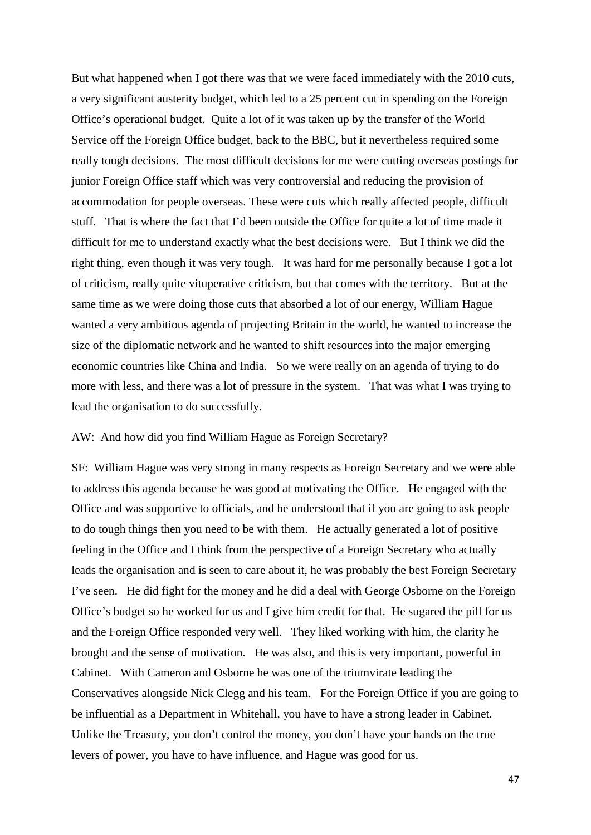But what happened when I got there was that we were faced immediately with the 2010 cuts, a very significant austerity budget, which led to a 25 percent cut in spending on the Foreign Office's operational budget. Quite a lot of it was taken up by the transfer of the World Service off the Foreign Office budget, back to the BBC, but it nevertheless required some really tough decisions. The most difficult decisions for me were cutting overseas postings for junior Foreign Office staff which was very controversial and reducing the provision of accommodation for people overseas. These were cuts which really affected people, difficult stuff. That is where the fact that I'd been outside the Office for quite a lot of time made it difficult for me to understand exactly what the best decisions were. But I think we did the right thing, even though it was very tough. It was hard for me personally because I got a lot of criticism, really quite vituperative criticism, but that comes with the territory. But at the same time as we were doing those cuts that absorbed a lot of our energy, William Hague wanted a very ambitious agenda of projecting Britain in the world, he wanted to increase the size of the diplomatic network and he wanted to shift resources into the major emerging economic countries like China and India. So we were really on an agenda of trying to do more with less, and there was a lot of pressure in the system. That was what I was trying to lead the organisation to do successfully.

## AW: And how did you find William Hague as Foreign Secretary?

SF: William Hague was very strong in many respects as Foreign Secretary and we were able to address this agenda because he was good at motivating the Office. He engaged with the Office and was supportive to officials, and he understood that if you are going to ask people to do tough things then you need to be with them. He actually generated a lot of positive feeling in the Office and I think from the perspective of a Foreign Secretary who actually leads the organisation and is seen to care about it, he was probably the best Foreign Secretary I've seen. He did fight for the money and he did a deal with George Osborne on the Foreign Office's budget so he worked for us and I give him credit for that. He sugared the pill for us and the Foreign Office responded very well. They liked working with him, the clarity he brought and the sense of motivation. He was also, and this is very important, powerful in Cabinet. With Cameron and Osborne he was one of the triumvirate leading the Conservatives alongside Nick Clegg and his team. For the Foreign Office if you are going to be influential as a Department in Whitehall, you have to have a strong leader in Cabinet. Unlike the Treasury, you don't control the money, you don't have your hands on the true levers of power, you have to have influence, and Hague was good for us.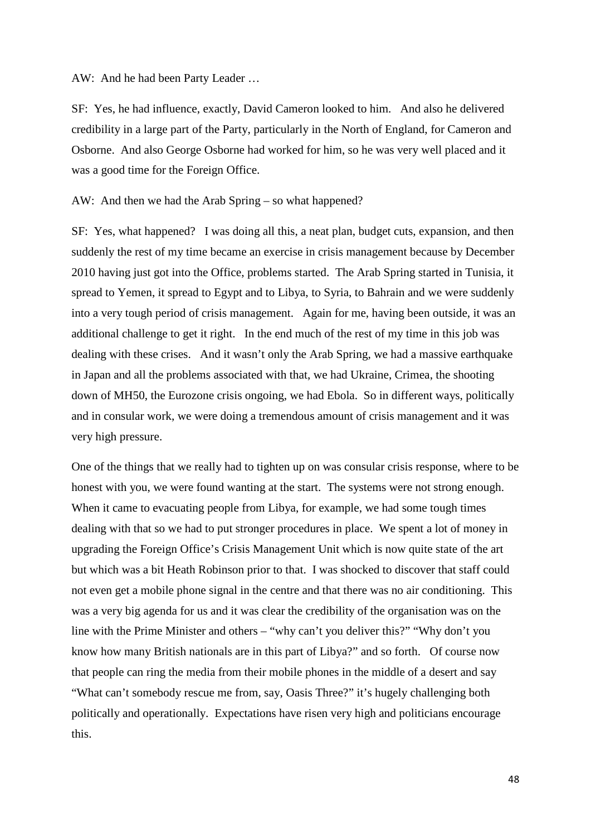## AW: And he had been Party Leader …

SF: Yes, he had influence, exactly, David Cameron looked to him. And also he delivered credibility in a large part of the Party, particularly in the North of England, for Cameron and Osborne. And also George Osborne had worked for him, so he was very well placed and it was a good time for the Foreign Office.

## AW: And then we had the Arab Spring – so what happened?

SF: Yes, what happened? I was doing all this, a neat plan, budget cuts, expansion, and then suddenly the rest of my time became an exercise in crisis management because by December 2010 having just got into the Office, problems started. The Arab Spring started in Tunisia, it spread to Yemen, it spread to Egypt and to Libya, to Syria, to Bahrain and we were suddenly into a very tough period of crisis management. Again for me, having been outside, it was an additional challenge to get it right. In the end much of the rest of my time in this job was dealing with these crises. And it wasn't only the Arab Spring, we had a massive earthquake in Japan and all the problems associated with that, we had Ukraine, Crimea, the shooting down of MH50, the Eurozone crisis ongoing, we had Ebola. So in different ways, politically and in consular work, we were doing a tremendous amount of crisis management and it was very high pressure.

One of the things that we really had to tighten up on was consular crisis response, where to be honest with you, we were found wanting at the start. The systems were not strong enough. When it came to evacuating people from Libya, for example, we had some tough times dealing with that so we had to put stronger procedures in place. We spent a lot of money in upgrading the Foreign Office's Crisis Management Unit which is now quite state of the art but which was a bit Heath Robinson prior to that. I was shocked to discover that staff could not even get a mobile phone signal in the centre and that there was no air conditioning. This was a very big agenda for us and it was clear the credibility of the organisation was on the line with the Prime Minister and others – "why can't you deliver this?" "Why don't you know how many British nationals are in this part of Libya?" and so forth. Of course now that people can ring the media from their mobile phones in the middle of a desert and say "What can't somebody rescue me from, say, Oasis Three?" it's hugely challenging both politically and operationally. Expectations have risen very high and politicians encourage this.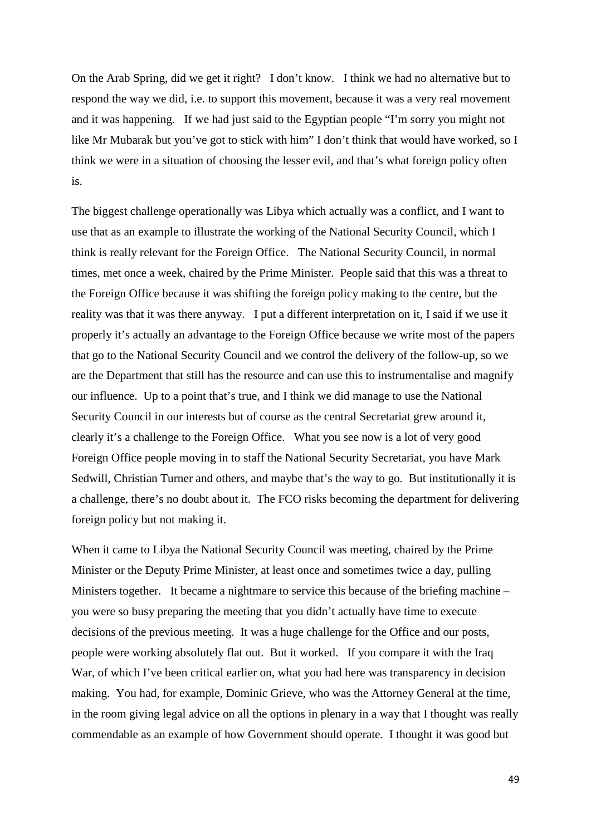On the Arab Spring, did we get it right? I don't know. I think we had no alternative but to respond the way we did, i.e. to support this movement, because it was a very real movement and it was happening. If we had just said to the Egyptian people "I'm sorry you might not like Mr Mubarak but you've got to stick with him" I don't think that would have worked, so I think we were in a situation of choosing the lesser evil, and that's what foreign policy often is.

The biggest challenge operationally was Libya which actually was a conflict, and I want to use that as an example to illustrate the working of the National Security Council, which I think is really relevant for the Foreign Office. The National Security Council, in normal times, met once a week, chaired by the Prime Minister. People said that this was a threat to the Foreign Office because it was shifting the foreign policy making to the centre, but the reality was that it was there anyway. I put a different interpretation on it, I said if we use it properly it's actually an advantage to the Foreign Office because we write most of the papers that go to the National Security Council and we control the delivery of the follow-up, so we are the Department that still has the resource and can use this to instrumentalise and magnify our influence. Up to a point that's true, and I think we did manage to use the National Security Council in our interests but of course as the central Secretariat grew around it, clearly it's a challenge to the Foreign Office. What you see now is a lot of very good Foreign Office people moving in to staff the National Security Secretariat, you have Mark Sedwill, Christian Turner and others, and maybe that's the way to go. But institutionally it is a challenge, there's no doubt about it. The FCO risks becoming the department for delivering foreign policy but not making it.

When it came to Libya the National Security Council was meeting, chaired by the Prime Minister or the Deputy Prime Minister, at least once and sometimes twice a day, pulling Ministers together. It became a nightmare to service this because of the briefing machine – you were so busy preparing the meeting that you didn't actually have time to execute decisions of the previous meeting. It was a huge challenge for the Office and our posts, people were working absolutely flat out. But it worked. If you compare it with the Iraq War, of which I've been critical earlier on, what you had here was transparency in decision making. You had, for example, Dominic Grieve, who was the Attorney General at the time, in the room giving legal advice on all the options in plenary in a way that I thought was really commendable as an example of how Government should operate. I thought it was good but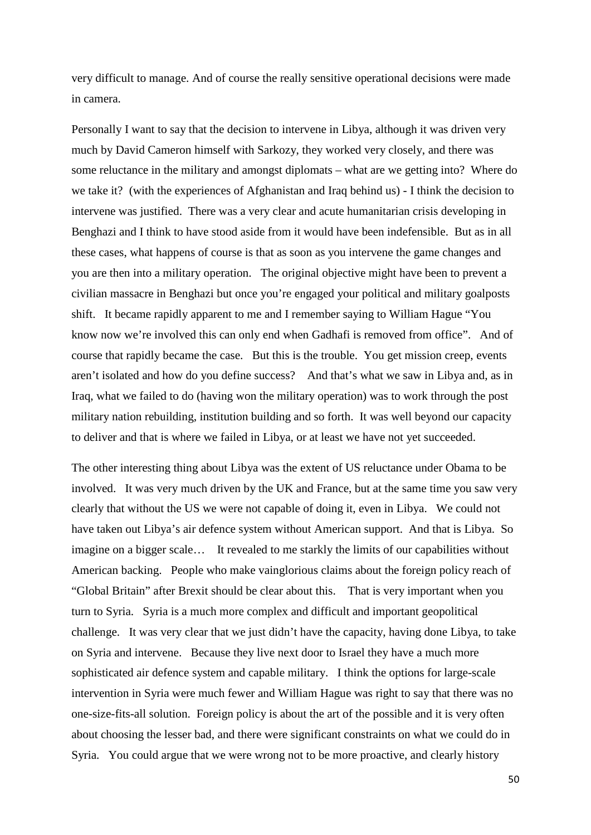very difficult to manage. And of course the really sensitive operational decisions were made in camera.

Personally I want to say that the decision to intervene in Libya, although it was driven very much by David Cameron himself with Sarkozy, they worked very closely, and there was some reluctance in the military and amongst diplomats – what are we getting into? Where do we take it? (with the experiences of Afghanistan and Iraq behind us) - I think the decision to intervene was justified. There was a very clear and acute humanitarian crisis developing in Benghazi and I think to have stood aside from it would have been indefensible. But as in all these cases, what happens of course is that as soon as you intervene the game changes and you are then into a military operation. The original objective might have been to prevent a civilian massacre in Benghazi but once you're engaged your political and military goalposts shift. It became rapidly apparent to me and I remember saying to William Hague "You know now we're involved this can only end when Gadhafi is removed from office". And of course that rapidly became the case. But this is the trouble. You get mission creep, events aren't isolated and how do you define success? And that's what we saw in Libya and, as in Iraq, what we failed to do (having won the military operation) was to work through the post military nation rebuilding, institution building and so forth. It was well beyond our capacity to deliver and that is where we failed in Libya, or at least we have not yet succeeded.

The other interesting thing about Libya was the extent of US reluctance under Obama to be involved. It was very much driven by the UK and France, but at the same time you saw very clearly that without the US we were not capable of doing it, even in Libya. We could not have taken out Libya's air defence system without American support. And that is Libya. So imagine on a bigger scale… It revealed to me starkly the limits of our capabilities without American backing. People who make vainglorious claims about the foreign policy reach of "Global Britain" after Brexit should be clear about this. That is very important when you turn to Syria. Syria is a much more complex and difficult and important geopolitical challenge. It was very clear that we just didn't have the capacity, having done Libya, to take on Syria and intervene. Because they live next door to Israel they have a much more sophisticated air defence system and capable military. I think the options for large-scale intervention in Syria were much fewer and William Hague was right to say that there was no one-size-fits-all solution. Foreign policy is about the art of the possible and it is very often about choosing the lesser bad, and there were significant constraints on what we could do in Syria. You could argue that we were wrong not to be more proactive, and clearly history

50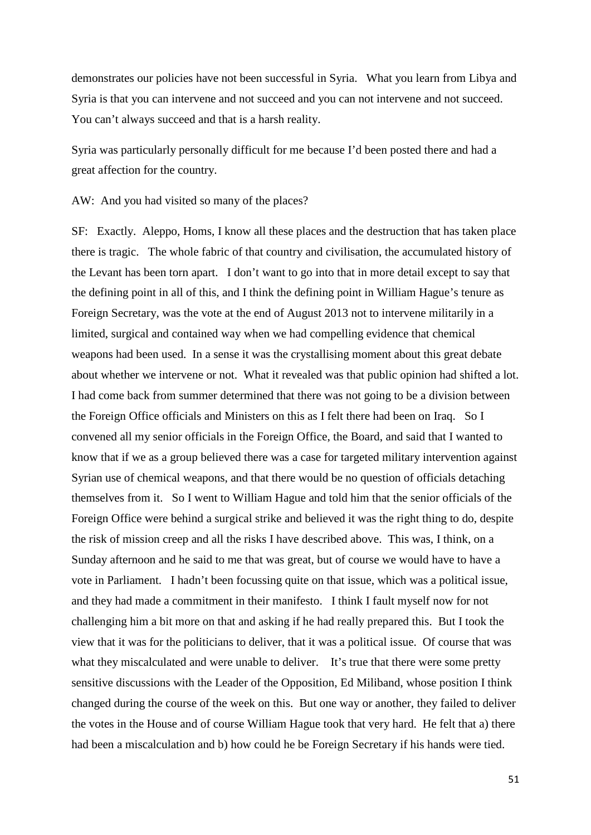demonstrates our policies have not been successful in Syria. What you learn from Libya and Syria is that you can intervene and not succeed and you can not intervene and not succeed. You can't always succeed and that is a harsh reality.

Syria was particularly personally difficult for me because I'd been posted there and had a great affection for the country.

AW: And you had visited so many of the places?

SF: Exactly. Aleppo, Homs, I know all these places and the destruction that has taken place there is tragic. The whole fabric of that country and civilisation, the accumulated history of the Levant has been torn apart. I don't want to go into that in more detail except to say that the defining point in all of this, and I think the defining point in William Hague's tenure as Foreign Secretary, was the vote at the end of August 2013 not to intervene militarily in a limited, surgical and contained way when we had compelling evidence that chemical weapons had been used. In a sense it was the crystallising moment about this great debate about whether we intervene or not. What it revealed was that public opinion had shifted a lot. I had come back from summer determined that there was not going to be a division between the Foreign Office officials and Ministers on this as I felt there had been on Iraq. So I convened all my senior officials in the Foreign Office, the Board, and said that I wanted to know that if we as a group believed there was a case for targeted military intervention against Syrian use of chemical weapons, and that there would be no question of officials detaching themselves from it. So I went to William Hague and told him that the senior officials of the Foreign Office were behind a surgical strike and believed it was the right thing to do, despite the risk of mission creep and all the risks I have described above. This was, I think, on a Sunday afternoon and he said to me that was great, but of course we would have to have a vote in Parliament. I hadn't been focussing quite on that issue, which was a political issue, and they had made a commitment in their manifesto. I think I fault myself now for not challenging him a bit more on that and asking if he had really prepared this. But I took the view that it was for the politicians to deliver, that it was a political issue. Of course that was what they miscalculated and were unable to deliver. It's true that there were some pretty sensitive discussions with the Leader of the Opposition, Ed Miliband, whose position I think changed during the course of the week on this. But one way or another, they failed to deliver the votes in the House and of course William Hague took that very hard. He felt that a) there had been a miscalculation and b) how could he be Foreign Secretary if his hands were tied.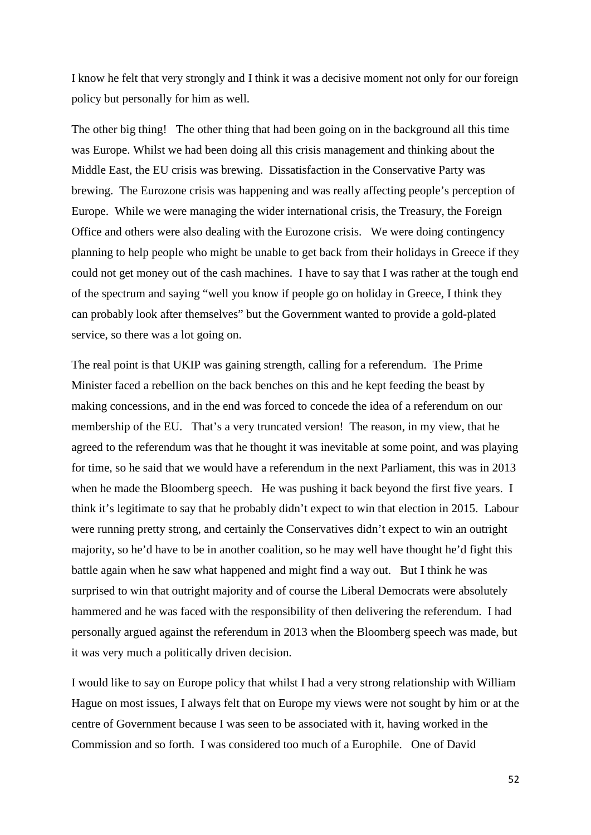I know he felt that very strongly and I think it was a decisive moment not only for our foreign policy but personally for him as well.

The other big thing! The other thing that had been going on in the background all this time was Europe. Whilst we had been doing all this crisis management and thinking about the Middle East, the EU crisis was brewing. Dissatisfaction in the Conservative Party was brewing. The Eurozone crisis was happening and was really affecting people's perception of Europe. While we were managing the wider international crisis, the Treasury, the Foreign Office and others were also dealing with the Eurozone crisis. We were doing contingency planning to help people who might be unable to get back from their holidays in Greece if they could not get money out of the cash machines. I have to say that I was rather at the tough end of the spectrum and saying "well you know if people go on holiday in Greece, I think they can probably look after themselves" but the Government wanted to provide a gold-plated service, so there was a lot going on.

The real point is that UKIP was gaining strength, calling for a referendum. The Prime Minister faced a rebellion on the back benches on this and he kept feeding the beast by making concessions, and in the end was forced to concede the idea of a referendum on our membership of the EU. That's a very truncated version! The reason, in my view, that he agreed to the referendum was that he thought it was inevitable at some point, and was playing for time, so he said that we would have a referendum in the next Parliament, this was in 2013 when he made the Bloomberg speech. He was pushing it back beyond the first five years. I think it's legitimate to say that he probably didn't expect to win that election in 2015. Labour were running pretty strong, and certainly the Conservatives didn't expect to win an outright majority, so he'd have to be in another coalition, so he may well have thought he'd fight this battle again when he saw what happened and might find a way out. But I think he was surprised to win that outright majority and of course the Liberal Democrats were absolutely hammered and he was faced with the responsibility of then delivering the referendum. I had personally argued against the referendum in 2013 when the Bloomberg speech was made, but it was very much a politically driven decision.

I would like to say on Europe policy that whilst I had a very strong relationship with William Hague on most issues, I always felt that on Europe my views were not sought by him or at the centre of Government because I was seen to be associated with it, having worked in the Commission and so forth. I was considered too much of a Europhile. One of David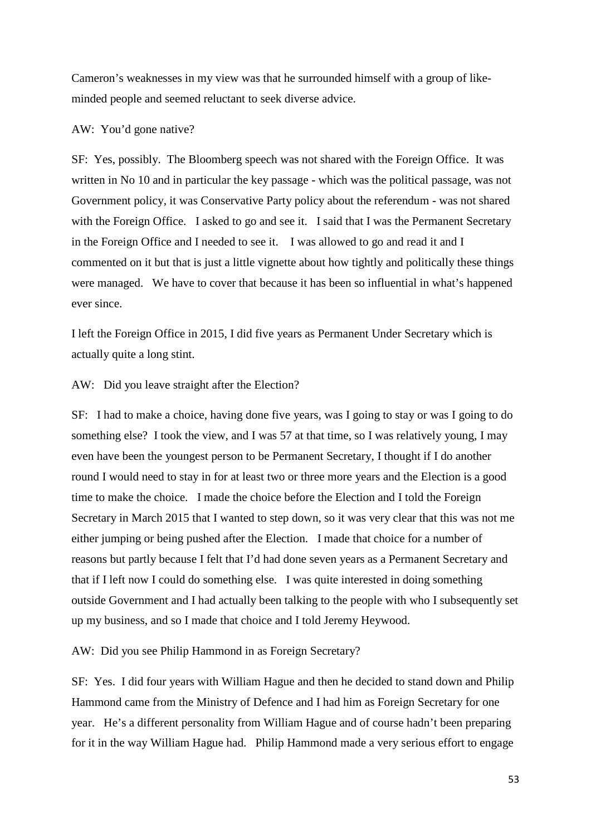Cameron's weaknesses in my view was that he surrounded himself with a group of likeminded people and seemed reluctant to seek diverse advice.

AW: You'd gone native?

SF: Yes, possibly. The Bloomberg speech was not shared with the Foreign Office. It was written in No 10 and in particular the key passage - which was the political passage, was not Government policy, it was Conservative Party policy about the referendum - was not shared with the Foreign Office. I asked to go and see it. I said that I was the Permanent Secretary in the Foreign Office and I needed to see it. I was allowed to go and read it and I commented on it but that is just a little vignette about how tightly and politically these things were managed. We have to cover that because it has been so influential in what's happened ever since.

I left the Foreign Office in 2015, I did five years as Permanent Under Secretary which is actually quite a long stint.

AW: Did you leave straight after the Election?

SF: I had to make a choice, having done five years, was I going to stay or was I going to do something else? I took the view, and I was 57 at that time, so I was relatively young, I may even have been the youngest person to be Permanent Secretary, I thought if I do another round I would need to stay in for at least two or three more years and the Election is a good time to make the choice. I made the choice before the Election and I told the Foreign Secretary in March 2015 that I wanted to step down, so it was very clear that this was not me either jumping or being pushed after the Election. I made that choice for a number of reasons but partly because I felt that I'd had done seven years as a Permanent Secretary and that if I left now I could do something else. I was quite interested in doing something outside Government and I had actually been talking to the people with who I subsequently set up my business, and so I made that choice and I told Jeremy Heywood.

AW: Did you see Philip Hammond in as Foreign Secretary?

SF: Yes. I did four years with William Hague and then he decided to stand down and Philip Hammond came from the Ministry of Defence and I had him as Foreign Secretary for one year. He's a different personality from William Hague and of course hadn't been preparing for it in the way William Hague had. Philip Hammond made a very serious effort to engage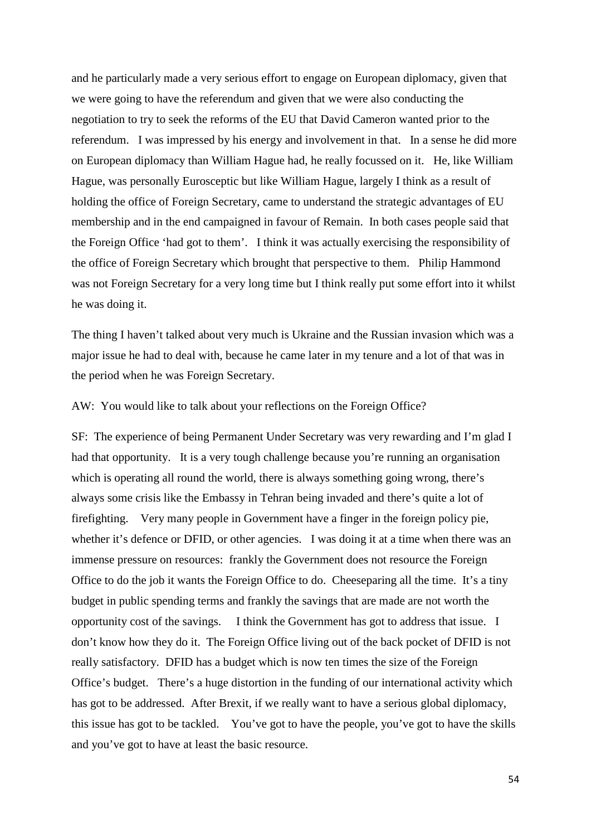and he particularly made a very serious effort to engage on European diplomacy, given that we were going to have the referendum and given that we were also conducting the negotiation to try to seek the reforms of the EU that David Cameron wanted prior to the referendum. I was impressed by his energy and involvement in that. In a sense he did more on European diplomacy than William Hague had, he really focussed on it. He, like William Hague, was personally Eurosceptic but like William Hague, largely I think as a result of holding the office of Foreign Secretary, came to understand the strategic advantages of EU membership and in the end campaigned in favour of Remain. In both cases people said that the Foreign Office 'had got to them'. I think it was actually exercising the responsibility of the office of Foreign Secretary which brought that perspective to them. Philip Hammond was not Foreign Secretary for a very long time but I think really put some effort into it whilst he was doing it.

The thing I haven't talked about very much is Ukraine and the Russian invasion which was a major issue he had to deal with, because he came later in my tenure and a lot of that was in the period when he was Foreign Secretary.

AW: You would like to talk about your reflections on the Foreign Office?

SF: The experience of being Permanent Under Secretary was very rewarding and I'm glad I had that opportunity. It is a very tough challenge because you're running an organisation which is operating all round the world, there is always something going wrong, there's always some crisis like the Embassy in Tehran being invaded and there's quite a lot of firefighting. Very many people in Government have a finger in the foreign policy pie, whether it's defence or DFID, or other agencies. I was doing it at a time when there was an immense pressure on resources: frankly the Government does not resource the Foreign Office to do the job it wants the Foreign Office to do. Cheeseparing all the time. It's a tiny budget in public spending terms and frankly the savings that are made are not worth the opportunity cost of the savings. I think the Government has got to address that issue. I don't know how they do it. The Foreign Office living out of the back pocket of DFID is not really satisfactory. DFID has a budget which is now ten times the size of the Foreign Office's budget. There's a huge distortion in the funding of our international activity which has got to be addressed. After Brexit, if we really want to have a serious global diplomacy, this issue has got to be tackled. You've got to have the people, you've got to have the skills and you've got to have at least the basic resource.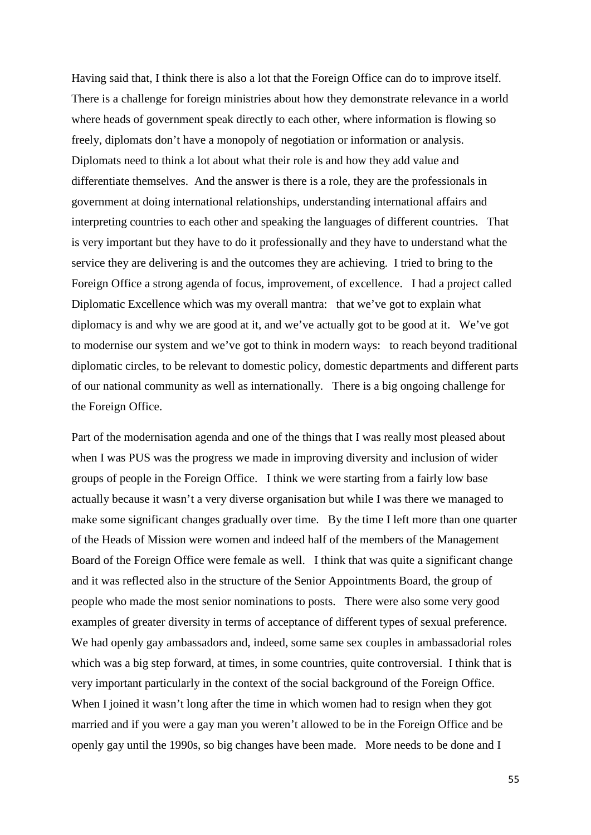Having said that, I think there is also a lot that the Foreign Office can do to improve itself. There is a challenge for foreign ministries about how they demonstrate relevance in a world where heads of government speak directly to each other, where information is flowing so freely, diplomats don't have a monopoly of negotiation or information or analysis. Diplomats need to think a lot about what their role is and how they add value and differentiate themselves. And the answer is there is a role, they are the professionals in government at doing international relationships, understanding international affairs and interpreting countries to each other and speaking the languages of different countries. That is very important but they have to do it professionally and they have to understand what the service they are delivering is and the outcomes they are achieving. I tried to bring to the Foreign Office a strong agenda of focus, improvement, of excellence. I had a project called Diplomatic Excellence which was my overall mantra: that we've got to explain what diplomacy is and why we are good at it, and we've actually got to be good at it. We've got to modernise our system and we've got to think in modern ways: to reach beyond traditional diplomatic circles, to be relevant to domestic policy, domestic departments and different parts of our national community as well as internationally. There is a big ongoing challenge for the Foreign Office.

Part of the modernisation agenda and one of the things that I was really most pleased about when I was PUS was the progress we made in improving diversity and inclusion of wider groups of people in the Foreign Office. I think we were starting from a fairly low base actually because it wasn't a very diverse organisation but while I was there we managed to make some significant changes gradually over time. By the time I left more than one quarter of the Heads of Mission were women and indeed half of the members of the Management Board of the Foreign Office were female as well. I think that was quite a significant change and it was reflected also in the structure of the Senior Appointments Board, the group of people who made the most senior nominations to posts. There were also some very good examples of greater diversity in terms of acceptance of different types of sexual preference. We had openly gay ambassadors and, indeed, some same sex couples in ambassadorial roles which was a big step forward, at times, in some countries, quite controversial. I think that is very important particularly in the context of the social background of the Foreign Office. When I joined it wasn't long after the time in which women had to resign when they got married and if you were a gay man you weren't allowed to be in the Foreign Office and be openly gay until the 1990s, so big changes have been made. More needs to be done and I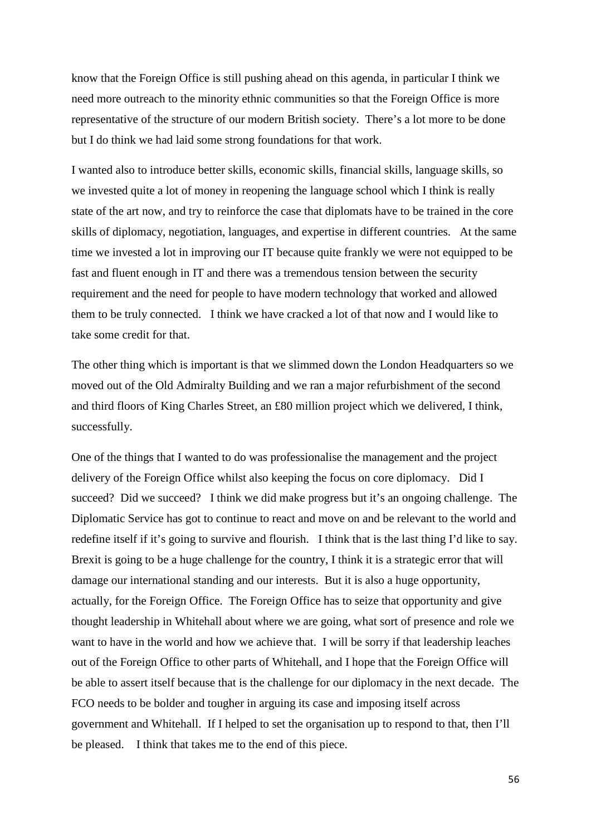know that the Foreign Office is still pushing ahead on this agenda, in particular I think we need more outreach to the minority ethnic communities so that the Foreign Office is more representative of the structure of our modern British society. There's a lot more to be done but I do think we had laid some strong foundations for that work.

I wanted also to introduce better skills, economic skills, financial skills, language skills, so we invested quite a lot of money in reopening the language school which I think is really state of the art now, and try to reinforce the case that diplomats have to be trained in the core skills of diplomacy, negotiation, languages, and expertise in different countries. At the same time we invested a lot in improving our IT because quite frankly we were not equipped to be fast and fluent enough in IT and there was a tremendous tension between the security requirement and the need for people to have modern technology that worked and allowed them to be truly connected. I think we have cracked a lot of that now and I would like to take some credit for that.

The other thing which is important is that we slimmed down the London Headquarters so we moved out of the Old Admiralty Building and we ran a major refurbishment of the second and third floors of King Charles Street, an £80 million project which we delivered, I think, successfully.

One of the things that I wanted to do was professionalise the management and the project delivery of the Foreign Office whilst also keeping the focus on core diplomacy. Did I succeed? Did we succeed? I think we did make progress but it's an ongoing challenge. The Diplomatic Service has got to continue to react and move on and be relevant to the world and redefine itself if it's going to survive and flourish. I think that is the last thing I'd like to say. Brexit is going to be a huge challenge for the country, I think it is a strategic error that will damage our international standing and our interests. But it is also a huge opportunity, actually, for the Foreign Office. The Foreign Office has to seize that opportunity and give thought leadership in Whitehall about where we are going, what sort of presence and role we want to have in the world and how we achieve that. I will be sorry if that leadership leaches out of the Foreign Office to other parts of Whitehall, and I hope that the Foreign Office will be able to assert itself because that is the challenge for our diplomacy in the next decade. The FCO needs to be bolder and tougher in arguing its case and imposing itself across government and Whitehall. If I helped to set the organisation up to respond to that, then I'll be pleased. I think that takes me to the end of this piece.

56